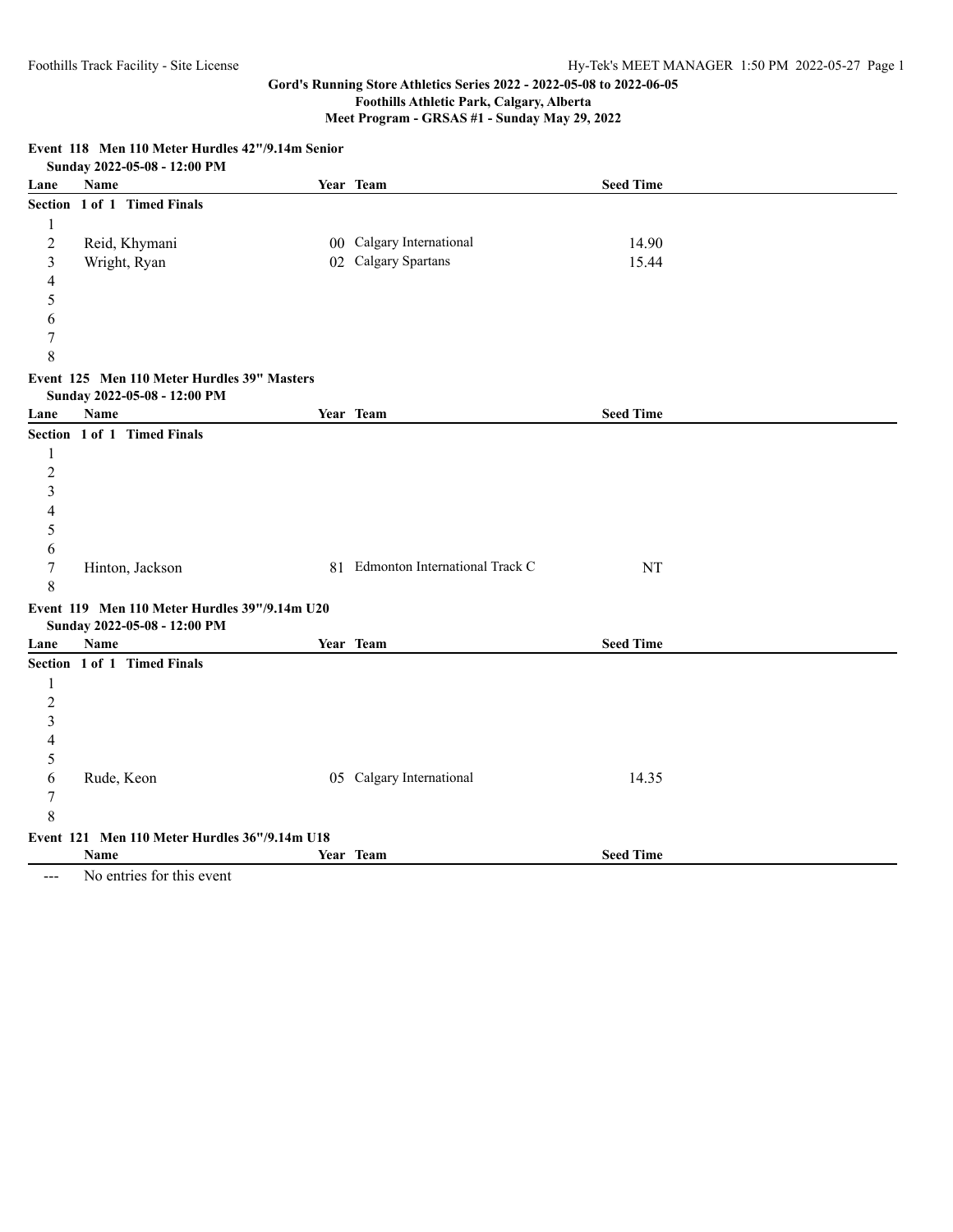**Meet Program - GRSAS #1 - Sunday May 29, 2022**

**Event 118 Men 110 Meter Hurdles 42"/9.14m Senior Sunday 2022-05-08 - 12:00 PM Lane Name Year Team Seed Time Section 1 of 1 Timed Finals** 1 2 Reid, Khymani 00 Calgary International 14.90 3 Wright, Ryan 02 Calgary Spartans 15.44 4 5 6 7 8 **Event 125 Men 110 Meter Hurdles 39" Masters Sunday 2022-05-08 - 12:00 PM Lane Name Year Team Seed Time Section 1 of 1 Timed Finals** 1 2 3 4 5 6 7 Hinton, Jackson 81 Edmonton International Track C NT 8 **Event 119 Men 110 Meter Hurdles 39"/9.14m U20 Sunday 2022-05-08 - 12:00 PM Lane Name Year Team Seed Time Section 1 of 1 Timed Finals** 1 2 3 4 5 6 Rude, Keon 05 Calgary International 14.35 7 8 **Event 121 Men 110 Meter Hurdles 36"/9.14m U18 Name Year Team Seed Time**

--- No entries for this event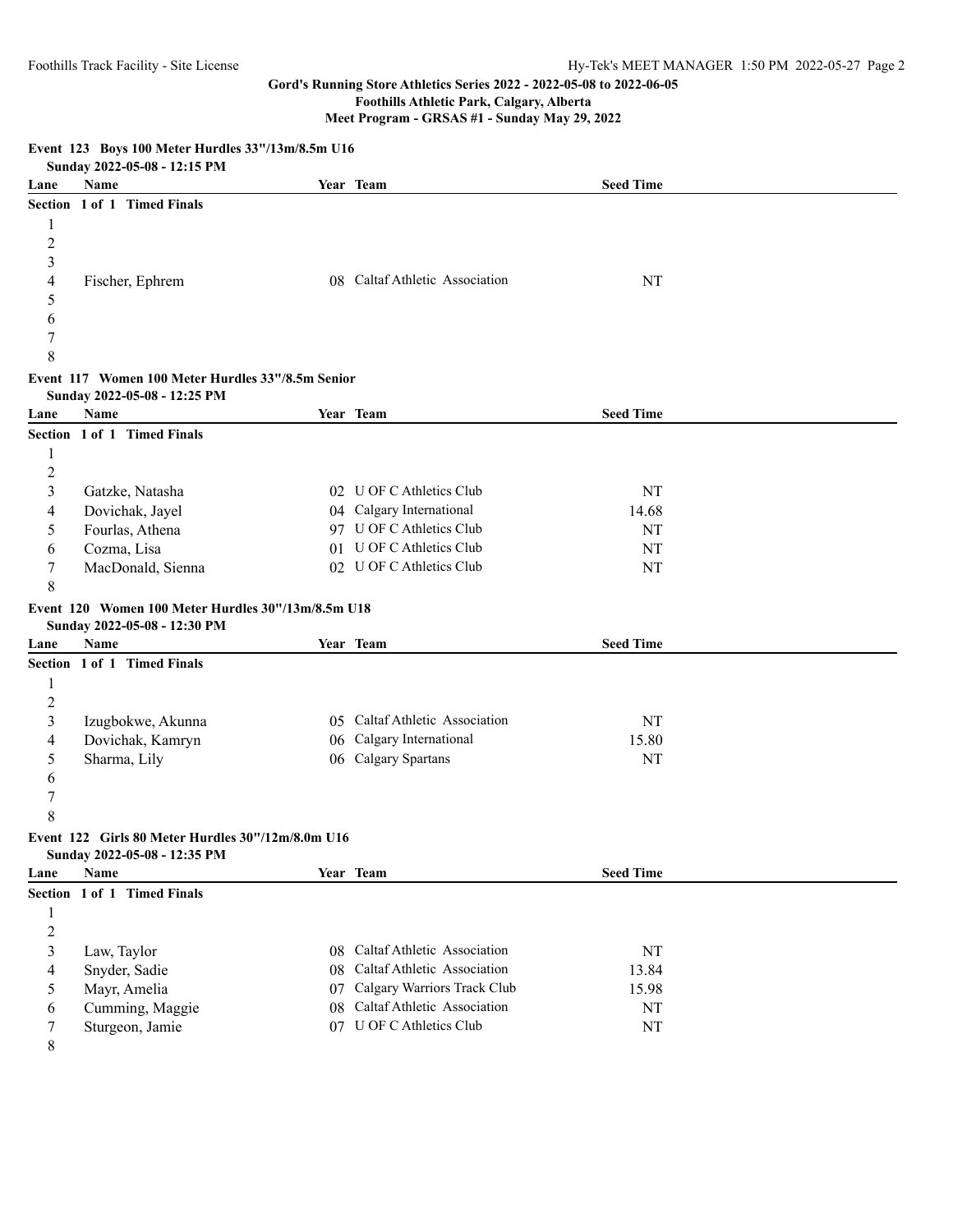# **Foothills Athletic Park, Calgary, Alberta**

**Meet Program - GRSAS #1 - Sunday May 29, 2022**

|                         | EVERY 120 DOYS TOO MEET HUIGHES OO 7101117010111 CT0<br>Sunday 2022-05-08 - 12:15 PM |    |                                |                  |  |
|-------------------------|--------------------------------------------------------------------------------------|----|--------------------------------|------------------|--|
| Lane                    | Name                                                                                 |    | Year Team                      | <b>Seed Time</b> |  |
|                         | Section 1 of 1 Timed Finals                                                          |    |                                |                  |  |
| 1                       |                                                                                      |    |                                |                  |  |
| $\overline{c}$          |                                                                                      |    |                                |                  |  |
| 3                       |                                                                                      |    |                                |                  |  |
| 4                       | Fischer, Ephrem                                                                      |    | 08 Caltaf Athletic Association | NT               |  |
| 5                       |                                                                                      |    |                                |                  |  |
| 6                       |                                                                                      |    |                                |                  |  |
| 7                       |                                                                                      |    |                                |                  |  |
| 8                       |                                                                                      |    |                                |                  |  |
|                         | Event 117 Women 100 Meter Hurdles 33"/8.5m Senior                                    |    |                                |                  |  |
|                         | Sunday 2022-05-08 - 12:25 PM                                                         |    |                                |                  |  |
| Lane                    | Name                                                                                 |    | Year Team                      | <b>Seed Time</b> |  |
|                         | Section 1 of 1 Timed Finals                                                          |    |                                |                  |  |
| $\mathbf{1}$            |                                                                                      |    |                                |                  |  |
| $\overline{c}$          |                                                                                      |    |                                |                  |  |
| 3                       | Gatzke, Natasha                                                                      |    | 02 U OF C Athletics Club       | NT               |  |
| 4                       | Dovichak, Jayel                                                                      |    | 04 Calgary International       | 14.68            |  |
| 5                       | Fourlas, Athena                                                                      |    | 97 U OF C Athletics Club       | NT               |  |
| 6                       | Cozma, Lisa                                                                          |    | 01 U OF C Athletics Club       | NT               |  |
| 7                       | MacDonald, Sienna                                                                    |    | 02 U OF C Athletics Club       | NT               |  |
| 8                       |                                                                                      |    |                                |                  |  |
|                         | Event 120 Women 100 Meter Hurdles 30"/13m/8.5m U18                                   |    |                                |                  |  |
|                         | Sunday 2022-05-08 - 12:30 PM                                                         |    |                                |                  |  |
| Lane                    | Name                                                                                 |    | Year Team                      | <b>Seed Time</b> |  |
|                         | Section 1 of 1 Timed Finals                                                          |    |                                |                  |  |
| $\mathbf{1}$            |                                                                                      |    |                                |                  |  |
| $\sqrt{2}$              |                                                                                      |    |                                |                  |  |
| $\mathfrak{Z}$          | Izugbokwe, Akunna                                                                    |    | 05 Caltaf Athletic Association | NT               |  |
| 4                       | Dovichak, Kamryn                                                                     |    | 06 Calgary International       | 15.80            |  |
| 5                       | Sharma, Lily                                                                         |    | 06 Calgary Spartans            | NT               |  |
| 6                       |                                                                                      |    |                                |                  |  |
| $\boldsymbol{7}$        |                                                                                      |    |                                |                  |  |
| 8                       |                                                                                      |    |                                |                  |  |
|                         | Event 122 Girls 80 Meter Hurdles 30"/12m/8.0m U16                                    |    |                                |                  |  |
|                         | Sunday 2022-05-08 - 12:35 PM                                                         |    |                                |                  |  |
| Lane                    | Name                                                                                 |    | Year Team                      | <b>Seed Time</b> |  |
|                         | Section 1 of 1 Timed Finals                                                          |    |                                |                  |  |
| $\mathbf{1}$            |                                                                                      |    |                                |                  |  |
| $\overline{c}$          |                                                                                      |    |                                |                  |  |
| $\overline{\mathbf{3}}$ | Law, Taylor                                                                          |    | 08 Caltaf Athletic Association | $\rm{NT}$        |  |
| 4                       | Snyder, Sadie                                                                        | 08 | Caltaf Athletic Association    | 13.84            |  |
| 5                       | Mayr, Amelia                                                                         | 07 | Calgary Warriors Track Club    | 15.98            |  |
| 6                       | Cumming, Maggie                                                                      | 08 | Caltaf Athletic Association    | $\rm{NT}$        |  |
| 7                       | Sturgeon, Jamie                                                                      |    | 07 U OF C Athletics Club       | $\rm{NT}$        |  |
| 8                       |                                                                                      |    |                                |                  |  |

## **Event 123 Boys 100 Meter Hurdles 33"/13m/8.5m U16**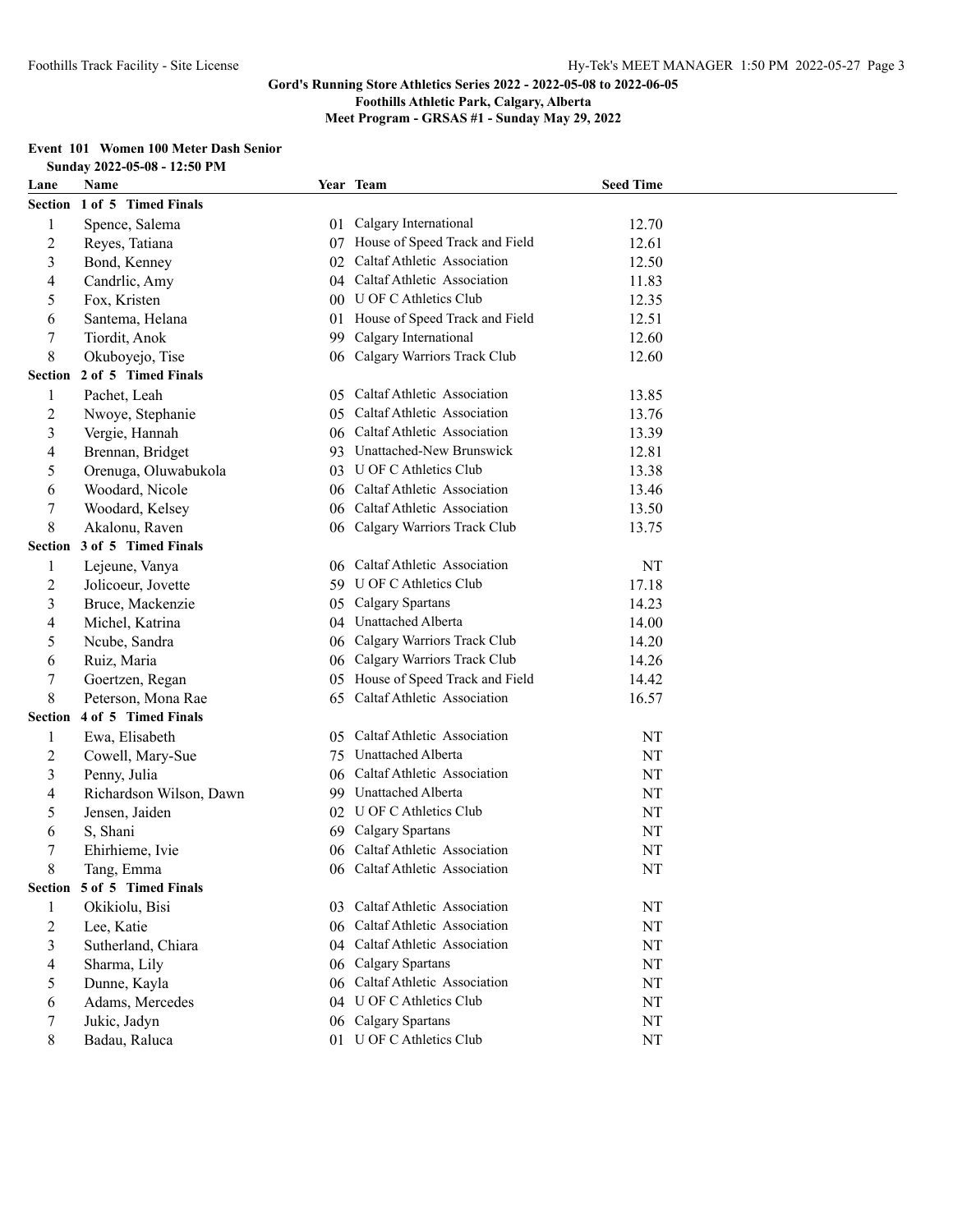**Foothills Athletic Park, Calgary, Alberta**

**Meet Program - GRSAS #1 - Sunday May 29, 2022**

#### **Event 101 Women 100 Meter Dash Senior Sunday 2022-05-08 - 12:50 PM**

|                | SUNUAY 2022-03-08 - 12:30 P.M. |               |                                   |                  |
|----------------|--------------------------------|---------------|-----------------------------------|------------------|
| Lane           | Name                           |               | Year Team                         | <b>Seed Time</b> |
|                | Section 1 of 5 Timed Finals    |               |                                   |                  |
| 1              | Spence, Salema                 | 01            | Calgary International             | 12.70            |
| 2              | Reyes, Tatiana                 |               | 07 House of Speed Track and Field | 12.61            |
| 3              | Bond, Kenney                   | 02            | Caltaf Athletic Association       | 12.50            |
| 4              | Candrlic, Amy                  | 04            | Caltaf Athletic Association       | 11.83            |
| 5              | Fox, Kristen                   |               | 00 U OF C Athletics Club          | 12.35            |
| 6              | Santema, Helana                | 01            | House of Speed Track and Field    | 12.51            |
| 7              | Tiordit, Anok                  | 99            | Calgary International             | 12.60            |
| 8              | Okuboyejo, Tise                | 06            | Calgary Warriors Track Club       | 12.60            |
| <b>Section</b> | 2 of 5 Timed Finals            |               |                                   |                  |
| 1              | Pachet, Leah                   |               | 05 Caltaf Athletic Association    | 13.85            |
| 2              | Nwoye, Stephanie               |               | 05 Caltaf Athletic Association    | 13.76            |
| 3              | Vergie, Hannah                 |               | 06 Caltaf Athletic Association    | 13.39            |
| 4              | Brennan, Bridget               |               | 93 Unattached-New Brunswick       | 12.81            |
| 5              | Orenuga, Oluwabukola           |               | 03 U OF C Athletics Club          | 13.38            |
| 6              | Woodard, Nicole                |               | 06 Caltaf Athletic Association    | 13.46            |
| 7              | Woodard, Kelsey                |               | 06 Caltaf Athletic Association    | 13.50            |
| 8              | Akalonu, Raven                 |               | 06 Calgary Warriors Track Club    | 13.75            |
| Section        | 3 of 5 Timed Finals            |               |                                   |                  |
| 1              | Lejeune, Vanya                 | 06            | Caltaf Athletic Association       | NT               |
| 2              | Jolicoeur, Jovette             |               | 59 U OF C Athletics Club          | 17.18            |
| 3              | Bruce, Mackenzie               | 05            | Calgary Spartans                  | 14.23            |
| 4              | Michel, Katrina                | 04            | Unattached Alberta                | 14.00            |
| 5              | Ncube, Sandra                  | 06            | Calgary Warriors Track Club       | 14.20            |
| 6              | Ruiz, Maria                    | 06            | Calgary Warriors Track Club       | 14.26            |
| 7              | Goertzen, Regan                |               | 05 House of Speed Track and Field | 14.42            |
| 8              | Peterson, Mona Rae             | 65            | Caltaf Athletic Association       | 16.57            |
| Section        | 4 of 5 Timed Finals            |               |                                   |                  |
| 1              | Ewa, Elisabeth                 | $0.5^{\circ}$ | Caltaf Athletic Association       | NT               |
| 2              | Cowell, Mary-Sue               | 75            | Unattached Alberta                | NT               |
| 3              | Penny, Julia                   | 06            | Caltaf Athletic Association       | NT               |
| 4              | Richardson Wilson, Dawn        | 99            | Unattached Alberta                | NT               |
| 5              | Jensen, Jaiden                 | 02            | U OF C Athletics Club             | NT               |
| 6              | S, Shani                       | 69            | <b>Calgary Spartans</b>           | NT               |
| 7              | Ehirhieme, Ivie                |               | 06 Caltaf Athletic Association    | NT               |
| 8              | Tang, Emma                     |               | 06 Caltaf Athletic Association    | NT               |
|                | Section 5 of 5 Timed Finals    |               |                                   |                  |
| 1              | Okikiolu, Bisi                 | 03.           | Caltaf Athletic Association       | NT               |
| 2              | Lee, Katie                     | 06            | Caltaf Athletic Association       | NT               |
| 3              | Sutherland, Chiara             |               | 04 Caltaf Athletic Association    | NT               |
| 4              | Sharma, Lily                   | 06            | Calgary Spartans                  | NT               |
| 5              | Dunne, Kayla                   |               | 06 Caltaf Athletic Association    | NT               |
| 6              | Adams, Mercedes                |               | 04 U OF C Athletics Club          | NT               |
| 7              | Jukic, Jadyn                   |               | 06 Calgary Spartans               | NT               |
| 8              | Badau, Raluca                  |               | 01 U OF C Athletics Club          | NT               |
|                |                                |               |                                   |                  |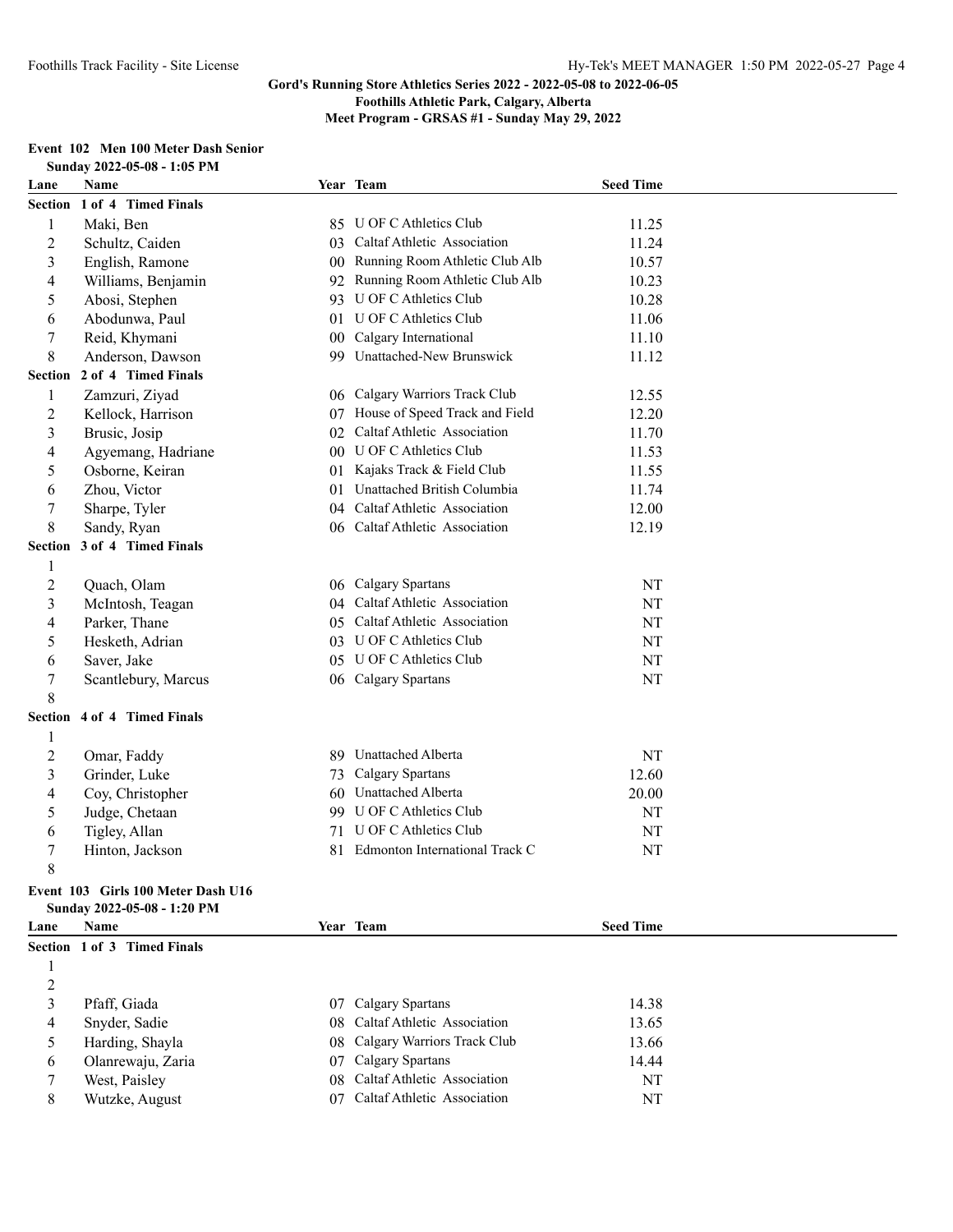**Foothills Athletic Park, Calgary, Alberta**

**Meet Program - GRSAS #1 - Sunday May 29, 2022**

# **Event 102 Men 100 Meter Dash Senior**

| Name<br>Year Team<br><b>Seed Time</b><br>Lane<br>Section 1 of 4 Timed Finals<br>Maki, Ben<br>U OF C Athletics Club<br>$\mathbf{1}$<br>11.25<br>85<br>Caltaf Athletic Association<br>$\overline{c}$<br>Schultz, Caiden<br>11.24<br>03<br>$\mathfrak{Z}$<br>Running Room Athletic Club Alb<br>English, Ramone<br>10.57<br>00<br>Running Room Athletic Club Alb<br>4<br>Williams, Benjamin<br>10.23<br>92<br>U OF C Athletics Club<br>5<br>10.28<br>Abosi, Stephen<br>93<br>U OF C Athletics Club<br>Abodunwa, Paul<br>11.06<br>6<br>01<br>7<br>Reid, Khymani<br>Calgary International<br>11.10<br>00<br>8<br>99 Unattached-New Brunswick<br>Anderson, Dawson<br>11.12<br>2 of 4 Timed Finals<br><b>Section</b><br>06 Calgary Warriors Track Club<br>$\mathbf{1}$<br>Zamzuri, Ziyad<br>12.55<br>$\overline{c}$<br>House of Speed Track and Field<br>Kellock, Harrison<br>12.20<br>07<br>02 Caltaf Athletic Association<br>3<br>11.70<br>Brusic, Josip<br>00 U OF C Athletics Club<br>4<br>Agyemang, Hadriane<br>11.53<br>5<br>Osborne, Keiran<br>01 Kajaks Track & Field Club<br>11.55<br>Unattached British Columbia<br>Zhou, Victor<br>6<br>11.74<br>01<br>$\boldsymbol{7}$<br>04 Caltaf Athletic Association<br>Sharpe, Tyler<br>12.00<br>8<br>06 Caltaf Athletic Association<br>Sandy, Ryan<br>12.19<br>3 of 4 Timed Finals<br><b>Section</b><br>$\mathbf{1}$<br>$\overline{2}$<br>06 Calgary Spartans<br>$\rm{NT}$<br>Quach, Olam<br>04 Caltaf Athletic Association<br>$\mathfrak{Z}$<br>McIntosh, Teagan<br>NT<br>Parker, Thane<br>Caltaf Athletic Association<br>NT<br>4<br>05<br>5<br>03 U OF C Athletics Club<br>Hesketh, Adrian<br>NT<br>05 U OF C Athletics Club<br>$\rm{NT}$<br>6<br>Saver, Jake<br>$\boldsymbol{7}$<br>06 Calgary Spartans<br>NT<br>Scantlebury, Marcus<br>8<br>Section 4 of 4 Timed Finals<br>$\mathbf{1}$<br>$\overline{2}$<br><b>Unattached Alberta</b><br>NT<br>Omar, Faddy<br>89.<br>$\mathfrak{Z}$<br>Calgary Spartans<br>Grinder, Luke<br>12.60<br>73<br>60 Unattached Alberta<br>4<br>Coy, Christopher<br>20.00<br>99 U OF C Athletics Club<br>5<br>Judge, Chetaan<br>NT<br><b>U OF C Athletics Club</b><br>Tigley, Allan<br>NT<br>6<br>71<br>7<br>Edmonton International Track C<br>NT<br>81<br>Hinton, Jackson<br>8<br>Event 103 Girls 100 Meter Dash U16<br>Sunday 2022-05-08 - 1:20 PM<br>Name<br>Year Team<br><b>Seed Time</b><br>Lane<br>Section 1 of 3 Timed Finals<br>1<br>$\overline{2}$<br>3<br>Calgary Spartans<br>Pfaff, Giada<br>14.38<br>07<br>Caltaf Athletic Association<br>Snyder, Sadie<br>13.65<br>4<br>08<br>Calgary Warriors Track Club<br>5<br>Harding, Shayla<br>13.66<br>08<br>07 Calgary Spartans |   | Sunday 2022-05-08 - 1:05 PM |  |       |  |
|--------------------------------------------------------------------------------------------------------------------------------------------------------------------------------------------------------------------------------------------------------------------------------------------------------------------------------------------------------------------------------------------------------------------------------------------------------------------------------------------------------------------------------------------------------------------------------------------------------------------------------------------------------------------------------------------------------------------------------------------------------------------------------------------------------------------------------------------------------------------------------------------------------------------------------------------------------------------------------------------------------------------------------------------------------------------------------------------------------------------------------------------------------------------------------------------------------------------------------------------------------------------------------------------------------------------------------------------------------------------------------------------------------------------------------------------------------------------------------------------------------------------------------------------------------------------------------------------------------------------------------------------------------------------------------------------------------------------------------------------------------------------------------------------------------------------------------------------------------------------------------------------------------------------------------------------------------------------------------------------------------------------------------------------------------------------------------------------------------------------------------------------------------------------------------------------------------------------------------------------------------------------------------------------------------------------------------------------------------------------------------------------------------------------------------------------------------------------------------------------------------------------------------------------------------------------------------------------------------------------------------------------------------------|---|-----------------------------|--|-------|--|
|                                                                                                                                                                                                                                                                                                                                                                                                                                                                                                                                                                                                                                                                                                                                                                                                                                                                                                                                                                                                                                                                                                                                                                                                                                                                                                                                                                                                                                                                                                                                                                                                                                                                                                                                                                                                                                                                                                                                                                                                                                                                                                                                                                                                                                                                                                                                                                                                                                                                                                                                                                                                                                                              |   |                             |  |       |  |
|                                                                                                                                                                                                                                                                                                                                                                                                                                                                                                                                                                                                                                                                                                                                                                                                                                                                                                                                                                                                                                                                                                                                                                                                                                                                                                                                                                                                                                                                                                                                                                                                                                                                                                                                                                                                                                                                                                                                                                                                                                                                                                                                                                                                                                                                                                                                                                                                                                                                                                                                                                                                                                                              |   |                             |  |       |  |
|                                                                                                                                                                                                                                                                                                                                                                                                                                                                                                                                                                                                                                                                                                                                                                                                                                                                                                                                                                                                                                                                                                                                                                                                                                                                                                                                                                                                                                                                                                                                                                                                                                                                                                                                                                                                                                                                                                                                                                                                                                                                                                                                                                                                                                                                                                                                                                                                                                                                                                                                                                                                                                                              |   |                             |  |       |  |
|                                                                                                                                                                                                                                                                                                                                                                                                                                                                                                                                                                                                                                                                                                                                                                                                                                                                                                                                                                                                                                                                                                                                                                                                                                                                                                                                                                                                                                                                                                                                                                                                                                                                                                                                                                                                                                                                                                                                                                                                                                                                                                                                                                                                                                                                                                                                                                                                                                                                                                                                                                                                                                                              |   |                             |  |       |  |
|                                                                                                                                                                                                                                                                                                                                                                                                                                                                                                                                                                                                                                                                                                                                                                                                                                                                                                                                                                                                                                                                                                                                                                                                                                                                                                                                                                                                                                                                                                                                                                                                                                                                                                                                                                                                                                                                                                                                                                                                                                                                                                                                                                                                                                                                                                                                                                                                                                                                                                                                                                                                                                                              |   |                             |  |       |  |
|                                                                                                                                                                                                                                                                                                                                                                                                                                                                                                                                                                                                                                                                                                                                                                                                                                                                                                                                                                                                                                                                                                                                                                                                                                                                                                                                                                                                                                                                                                                                                                                                                                                                                                                                                                                                                                                                                                                                                                                                                                                                                                                                                                                                                                                                                                                                                                                                                                                                                                                                                                                                                                                              |   |                             |  |       |  |
|                                                                                                                                                                                                                                                                                                                                                                                                                                                                                                                                                                                                                                                                                                                                                                                                                                                                                                                                                                                                                                                                                                                                                                                                                                                                                                                                                                                                                                                                                                                                                                                                                                                                                                                                                                                                                                                                                                                                                                                                                                                                                                                                                                                                                                                                                                                                                                                                                                                                                                                                                                                                                                                              |   |                             |  |       |  |
|                                                                                                                                                                                                                                                                                                                                                                                                                                                                                                                                                                                                                                                                                                                                                                                                                                                                                                                                                                                                                                                                                                                                                                                                                                                                                                                                                                                                                                                                                                                                                                                                                                                                                                                                                                                                                                                                                                                                                                                                                                                                                                                                                                                                                                                                                                                                                                                                                                                                                                                                                                                                                                                              |   |                             |  |       |  |
|                                                                                                                                                                                                                                                                                                                                                                                                                                                                                                                                                                                                                                                                                                                                                                                                                                                                                                                                                                                                                                                                                                                                                                                                                                                                                                                                                                                                                                                                                                                                                                                                                                                                                                                                                                                                                                                                                                                                                                                                                                                                                                                                                                                                                                                                                                                                                                                                                                                                                                                                                                                                                                                              |   |                             |  |       |  |
|                                                                                                                                                                                                                                                                                                                                                                                                                                                                                                                                                                                                                                                                                                                                                                                                                                                                                                                                                                                                                                                                                                                                                                                                                                                                                                                                                                                                                                                                                                                                                                                                                                                                                                                                                                                                                                                                                                                                                                                                                                                                                                                                                                                                                                                                                                                                                                                                                                                                                                                                                                                                                                                              |   |                             |  |       |  |
|                                                                                                                                                                                                                                                                                                                                                                                                                                                                                                                                                                                                                                                                                                                                                                                                                                                                                                                                                                                                                                                                                                                                                                                                                                                                                                                                                                                                                                                                                                                                                                                                                                                                                                                                                                                                                                                                                                                                                                                                                                                                                                                                                                                                                                                                                                                                                                                                                                                                                                                                                                                                                                                              |   |                             |  |       |  |
|                                                                                                                                                                                                                                                                                                                                                                                                                                                                                                                                                                                                                                                                                                                                                                                                                                                                                                                                                                                                                                                                                                                                                                                                                                                                                                                                                                                                                                                                                                                                                                                                                                                                                                                                                                                                                                                                                                                                                                                                                                                                                                                                                                                                                                                                                                                                                                                                                                                                                                                                                                                                                                                              |   |                             |  |       |  |
|                                                                                                                                                                                                                                                                                                                                                                                                                                                                                                                                                                                                                                                                                                                                                                                                                                                                                                                                                                                                                                                                                                                                                                                                                                                                                                                                                                                                                                                                                                                                                                                                                                                                                                                                                                                                                                                                                                                                                                                                                                                                                                                                                                                                                                                                                                                                                                                                                                                                                                                                                                                                                                                              |   |                             |  |       |  |
|                                                                                                                                                                                                                                                                                                                                                                                                                                                                                                                                                                                                                                                                                                                                                                                                                                                                                                                                                                                                                                                                                                                                                                                                                                                                                                                                                                                                                                                                                                                                                                                                                                                                                                                                                                                                                                                                                                                                                                                                                                                                                                                                                                                                                                                                                                                                                                                                                                                                                                                                                                                                                                                              |   |                             |  |       |  |
|                                                                                                                                                                                                                                                                                                                                                                                                                                                                                                                                                                                                                                                                                                                                                                                                                                                                                                                                                                                                                                                                                                                                                                                                                                                                                                                                                                                                                                                                                                                                                                                                                                                                                                                                                                                                                                                                                                                                                                                                                                                                                                                                                                                                                                                                                                                                                                                                                                                                                                                                                                                                                                                              |   |                             |  |       |  |
|                                                                                                                                                                                                                                                                                                                                                                                                                                                                                                                                                                                                                                                                                                                                                                                                                                                                                                                                                                                                                                                                                                                                                                                                                                                                                                                                                                                                                                                                                                                                                                                                                                                                                                                                                                                                                                                                                                                                                                                                                                                                                                                                                                                                                                                                                                                                                                                                                                                                                                                                                                                                                                                              |   |                             |  |       |  |
|                                                                                                                                                                                                                                                                                                                                                                                                                                                                                                                                                                                                                                                                                                                                                                                                                                                                                                                                                                                                                                                                                                                                                                                                                                                                                                                                                                                                                                                                                                                                                                                                                                                                                                                                                                                                                                                                                                                                                                                                                                                                                                                                                                                                                                                                                                                                                                                                                                                                                                                                                                                                                                                              |   |                             |  |       |  |
|                                                                                                                                                                                                                                                                                                                                                                                                                                                                                                                                                                                                                                                                                                                                                                                                                                                                                                                                                                                                                                                                                                                                                                                                                                                                                                                                                                                                                                                                                                                                                                                                                                                                                                                                                                                                                                                                                                                                                                                                                                                                                                                                                                                                                                                                                                                                                                                                                                                                                                                                                                                                                                                              |   |                             |  |       |  |
|                                                                                                                                                                                                                                                                                                                                                                                                                                                                                                                                                                                                                                                                                                                                                                                                                                                                                                                                                                                                                                                                                                                                                                                                                                                                                                                                                                                                                                                                                                                                                                                                                                                                                                                                                                                                                                                                                                                                                                                                                                                                                                                                                                                                                                                                                                                                                                                                                                                                                                                                                                                                                                                              |   |                             |  |       |  |
|                                                                                                                                                                                                                                                                                                                                                                                                                                                                                                                                                                                                                                                                                                                                                                                                                                                                                                                                                                                                                                                                                                                                                                                                                                                                                                                                                                                                                                                                                                                                                                                                                                                                                                                                                                                                                                                                                                                                                                                                                                                                                                                                                                                                                                                                                                                                                                                                                                                                                                                                                                                                                                                              |   |                             |  |       |  |
|                                                                                                                                                                                                                                                                                                                                                                                                                                                                                                                                                                                                                                                                                                                                                                                                                                                                                                                                                                                                                                                                                                                                                                                                                                                                                                                                                                                                                                                                                                                                                                                                                                                                                                                                                                                                                                                                                                                                                                                                                                                                                                                                                                                                                                                                                                                                                                                                                                                                                                                                                                                                                                                              |   |                             |  |       |  |
|                                                                                                                                                                                                                                                                                                                                                                                                                                                                                                                                                                                                                                                                                                                                                                                                                                                                                                                                                                                                                                                                                                                                                                                                                                                                                                                                                                                                                                                                                                                                                                                                                                                                                                                                                                                                                                                                                                                                                                                                                                                                                                                                                                                                                                                                                                                                                                                                                                                                                                                                                                                                                                                              |   |                             |  |       |  |
|                                                                                                                                                                                                                                                                                                                                                                                                                                                                                                                                                                                                                                                                                                                                                                                                                                                                                                                                                                                                                                                                                                                                                                                                                                                                                                                                                                                                                                                                                                                                                                                                                                                                                                                                                                                                                                                                                                                                                                                                                                                                                                                                                                                                                                                                                                                                                                                                                                                                                                                                                                                                                                                              |   |                             |  |       |  |
|                                                                                                                                                                                                                                                                                                                                                                                                                                                                                                                                                                                                                                                                                                                                                                                                                                                                                                                                                                                                                                                                                                                                                                                                                                                                                                                                                                                                                                                                                                                                                                                                                                                                                                                                                                                                                                                                                                                                                                                                                                                                                                                                                                                                                                                                                                                                                                                                                                                                                                                                                                                                                                                              |   |                             |  |       |  |
|                                                                                                                                                                                                                                                                                                                                                                                                                                                                                                                                                                                                                                                                                                                                                                                                                                                                                                                                                                                                                                                                                                                                                                                                                                                                                                                                                                                                                                                                                                                                                                                                                                                                                                                                                                                                                                                                                                                                                                                                                                                                                                                                                                                                                                                                                                                                                                                                                                                                                                                                                                                                                                                              |   |                             |  |       |  |
|                                                                                                                                                                                                                                                                                                                                                                                                                                                                                                                                                                                                                                                                                                                                                                                                                                                                                                                                                                                                                                                                                                                                                                                                                                                                                                                                                                                                                                                                                                                                                                                                                                                                                                                                                                                                                                                                                                                                                                                                                                                                                                                                                                                                                                                                                                                                                                                                                                                                                                                                                                                                                                                              |   |                             |  |       |  |
|                                                                                                                                                                                                                                                                                                                                                                                                                                                                                                                                                                                                                                                                                                                                                                                                                                                                                                                                                                                                                                                                                                                                                                                                                                                                                                                                                                                                                                                                                                                                                                                                                                                                                                                                                                                                                                                                                                                                                                                                                                                                                                                                                                                                                                                                                                                                                                                                                                                                                                                                                                                                                                                              |   |                             |  |       |  |
|                                                                                                                                                                                                                                                                                                                                                                                                                                                                                                                                                                                                                                                                                                                                                                                                                                                                                                                                                                                                                                                                                                                                                                                                                                                                                                                                                                                                                                                                                                                                                                                                                                                                                                                                                                                                                                                                                                                                                                                                                                                                                                                                                                                                                                                                                                                                                                                                                                                                                                                                                                                                                                                              |   |                             |  |       |  |
|                                                                                                                                                                                                                                                                                                                                                                                                                                                                                                                                                                                                                                                                                                                                                                                                                                                                                                                                                                                                                                                                                                                                                                                                                                                                                                                                                                                                                                                                                                                                                                                                                                                                                                                                                                                                                                                                                                                                                                                                                                                                                                                                                                                                                                                                                                                                                                                                                                                                                                                                                                                                                                                              |   |                             |  |       |  |
|                                                                                                                                                                                                                                                                                                                                                                                                                                                                                                                                                                                                                                                                                                                                                                                                                                                                                                                                                                                                                                                                                                                                                                                                                                                                                                                                                                                                                                                                                                                                                                                                                                                                                                                                                                                                                                                                                                                                                                                                                                                                                                                                                                                                                                                                                                                                                                                                                                                                                                                                                                                                                                                              |   |                             |  |       |  |
|                                                                                                                                                                                                                                                                                                                                                                                                                                                                                                                                                                                                                                                                                                                                                                                                                                                                                                                                                                                                                                                                                                                                                                                                                                                                                                                                                                                                                                                                                                                                                                                                                                                                                                                                                                                                                                                                                                                                                                                                                                                                                                                                                                                                                                                                                                                                                                                                                                                                                                                                                                                                                                                              |   |                             |  |       |  |
|                                                                                                                                                                                                                                                                                                                                                                                                                                                                                                                                                                                                                                                                                                                                                                                                                                                                                                                                                                                                                                                                                                                                                                                                                                                                                                                                                                                                                                                                                                                                                                                                                                                                                                                                                                                                                                                                                                                                                                                                                                                                                                                                                                                                                                                                                                                                                                                                                                                                                                                                                                                                                                                              |   |                             |  |       |  |
|                                                                                                                                                                                                                                                                                                                                                                                                                                                                                                                                                                                                                                                                                                                                                                                                                                                                                                                                                                                                                                                                                                                                                                                                                                                                                                                                                                                                                                                                                                                                                                                                                                                                                                                                                                                                                                                                                                                                                                                                                                                                                                                                                                                                                                                                                                                                                                                                                                                                                                                                                                                                                                                              |   |                             |  |       |  |
|                                                                                                                                                                                                                                                                                                                                                                                                                                                                                                                                                                                                                                                                                                                                                                                                                                                                                                                                                                                                                                                                                                                                                                                                                                                                                                                                                                                                                                                                                                                                                                                                                                                                                                                                                                                                                                                                                                                                                                                                                                                                                                                                                                                                                                                                                                                                                                                                                                                                                                                                                                                                                                                              |   |                             |  |       |  |
|                                                                                                                                                                                                                                                                                                                                                                                                                                                                                                                                                                                                                                                                                                                                                                                                                                                                                                                                                                                                                                                                                                                                                                                                                                                                                                                                                                                                                                                                                                                                                                                                                                                                                                                                                                                                                                                                                                                                                                                                                                                                                                                                                                                                                                                                                                                                                                                                                                                                                                                                                                                                                                                              |   |                             |  |       |  |
|                                                                                                                                                                                                                                                                                                                                                                                                                                                                                                                                                                                                                                                                                                                                                                                                                                                                                                                                                                                                                                                                                                                                                                                                                                                                                                                                                                                                                                                                                                                                                                                                                                                                                                                                                                                                                                                                                                                                                                                                                                                                                                                                                                                                                                                                                                                                                                                                                                                                                                                                                                                                                                                              |   |                             |  |       |  |
|                                                                                                                                                                                                                                                                                                                                                                                                                                                                                                                                                                                                                                                                                                                                                                                                                                                                                                                                                                                                                                                                                                                                                                                                                                                                                                                                                                                                                                                                                                                                                                                                                                                                                                                                                                                                                                                                                                                                                                                                                                                                                                                                                                                                                                                                                                                                                                                                                                                                                                                                                                                                                                                              |   |                             |  |       |  |
|                                                                                                                                                                                                                                                                                                                                                                                                                                                                                                                                                                                                                                                                                                                                                                                                                                                                                                                                                                                                                                                                                                                                                                                                                                                                                                                                                                                                                                                                                                                                                                                                                                                                                                                                                                                                                                                                                                                                                                                                                                                                                                                                                                                                                                                                                                                                                                                                                                                                                                                                                                                                                                                              |   |                             |  |       |  |
|                                                                                                                                                                                                                                                                                                                                                                                                                                                                                                                                                                                                                                                                                                                                                                                                                                                                                                                                                                                                                                                                                                                                                                                                                                                                                                                                                                                                                                                                                                                                                                                                                                                                                                                                                                                                                                                                                                                                                                                                                                                                                                                                                                                                                                                                                                                                                                                                                                                                                                                                                                                                                                                              |   |                             |  |       |  |
|                                                                                                                                                                                                                                                                                                                                                                                                                                                                                                                                                                                                                                                                                                                                                                                                                                                                                                                                                                                                                                                                                                                                                                                                                                                                                                                                                                                                                                                                                                                                                                                                                                                                                                                                                                                                                                                                                                                                                                                                                                                                                                                                                                                                                                                                                                                                                                                                                                                                                                                                                                                                                                                              |   |                             |  |       |  |
|                                                                                                                                                                                                                                                                                                                                                                                                                                                                                                                                                                                                                                                                                                                                                                                                                                                                                                                                                                                                                                                                                                                                                                                                                                                                                                                                                                                                                                                                                                                                                                                                                                                                                                                                                                                                                                                                                                                                                                                                                                                                                                                                                                                                                                                                                                                                                                                                                                                                                                                                                                                                                                                              |   |                             |  |       |  |
|                                                                                                                                                                                                                                                                                                                                                                                                                                                                                                                                                                                                                                                                                                                                                                                                                                                                                                                                                                                                                                                                                                                                                                                                                                                                                                                                                                                                                                                                                                                                                                                                                                                                                                                                                                                                                                                                                                                                                                                                                                                                                                                                                                                                                                                                                                                                                                                                                                                                                                                                                                                                                                                              |   |                             |  |       |  |
|                                                                                                                                                                                                                                                                                                                                                                                                                                                                                                                                                                                                                                                                                                                                                                                                                                                                                                                                                                                                                                                                                                                                                                                                                                                                                                                                                                                                                                                                                                                                                                                                                                                                                                                                                                                                                                                                                                                                                                                                                                                                                                                                                                                                                                                                                                                                                                                                                                                                                                                                                                                                                                                              |   |                             |  |       |  |
|                                                                                                                                                                                                                                                                                                                                                                                                                                                                                                                                                                                                                                                                                                                                                                                                                                                                                                                                                                                                                                                                                                                                                                                                                                                                                                                                                                                                                                                                                                                                                                                                                                                                                                                                                                                                                                                                                                                                                                                                                                                                                                                                                                                                                                                                                                                                                                                                                                                                                                                                                                                                                                                              |   |                             |  |       |  |
|                                                                                                                                                                                                                                                                                                                                                                                                                                                                                                                                                                                                                                                                                                                                                                                                                                                                                                                                                                                                                                                                                                                                                                                                                                                                                                                                                                                                                                                                                                                                                                                                                                                                                                                                                                                                                                                                                                                                                                                                                                                                                                                                                                                                                                                                                                                                                                                                                                                                                                                                                                                                                                                              |   |                             |  |       |  |
|                                                                                                                                                                                                                                                                                                                                                                                                                                                                                                                                                                                                                                                                                                                                                                                                                                                                                                                                                                                                                                                                                                                                                                                                                                                                                                                                                                                                                                                                                                                                                                                                                                                                                                                                                                                                                                                                                                                                                                                                                                                                                                                                                                                                                                                                                                                                                                                                                                                                                                                                                                                                                                                              |   |                             |  |       |  |
|                                                                                                                                                                                                                                                                                                                                                                                                                                                                                                                                                                                                                                                                                                                                                                                                                                                                                                                                                                                                                                                                                                                                                                                                                                                                                                                                                                                                                                                                                                                                                                                                                                                                                                                                                                                                                                                                                                                                                                                                                                                                                                                                                                                                                                                                                                                                                                                                                                                                                                                                                                                                                                                              | 6 | Olanrewaju, Zaria           |  | 14.44 |  |

7 West, Paisley 08 Caltaf Athletic Association NT Wutzke, August 07 Caltaf Athletic Association NT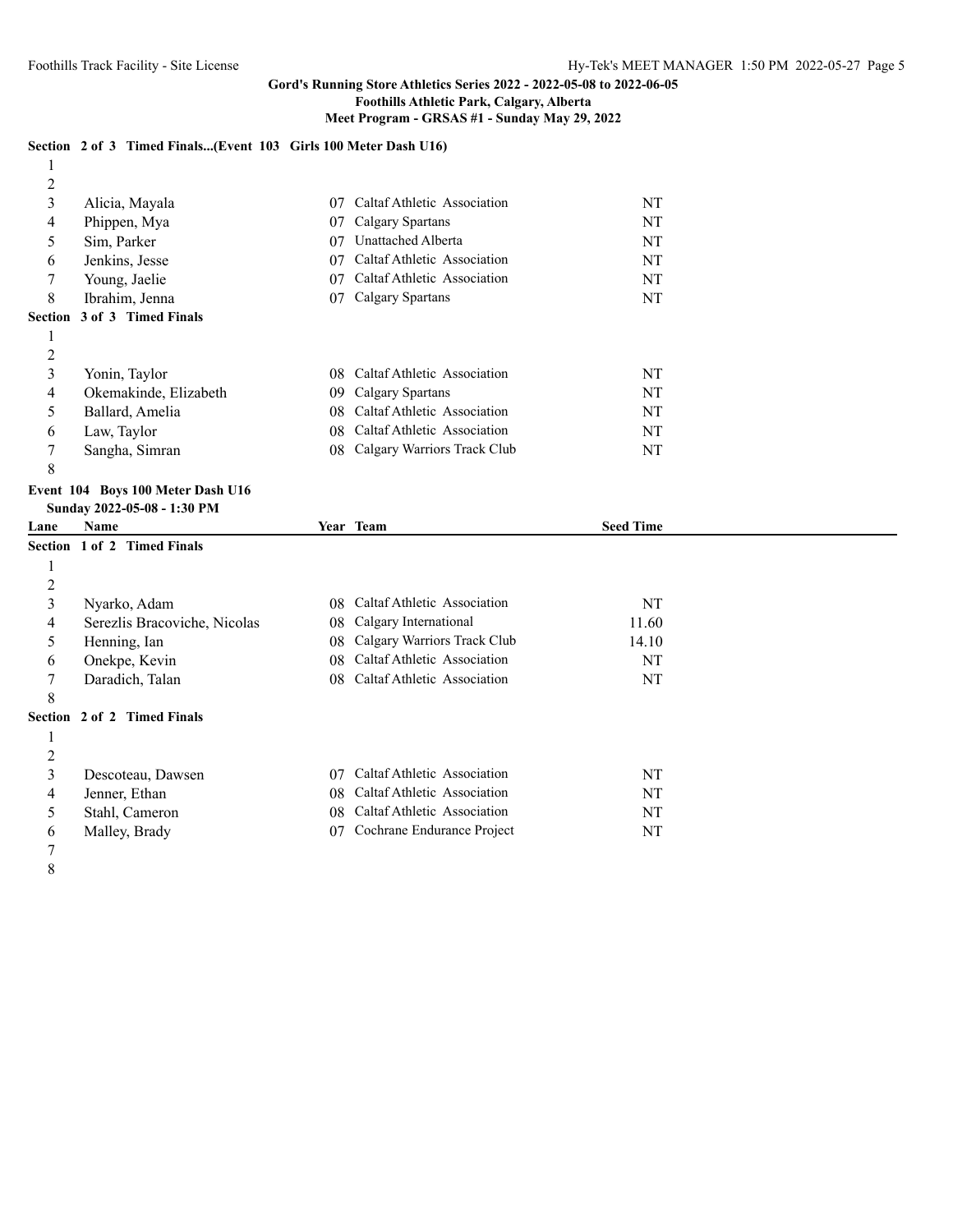# **Gord's Running Store Athletics Series 2022 - 2022-05-08 to 2022-06-05**

# **Foothills Athletic Park, Calgary, Alberta**

### **Meet Program - GRSAS #1 - Sunday May 29, 2022**

# **Section 2 of 3 Timed Finals...(Event 103 Girls 100 Meter Dash U16)**

| 2 |                                    |     |                             |           |
|---|------------------------------------|-----|-----------------------------|-----------|
| 3 | Alicia, Mayala                     | 07  | Caltaf Athletic Association | <b>NT</b> |
| 4 | Phippen, Mya                       | 07  | Calgary Spartans            | <b>NT</b> |
| 5 | Sim, Parker                        | 07  | Unattached Alberta          | NT        |
| 6 | Jenkins, Jesse                     | 07  | Caltaf Athletic Association | <b>NT</b> |
|   | Young, Jaelie                      | 07  | Caltaf Athletic Association | NT        |
| 8 | Ibrahim, Jenna                     | 07  | Calgary Spartans            | NT        |
|   | <b>Section 3 of 3 Timed Finals</b> |     |                             |           |
|   |                                    |     |                             |           |
| 2 |                                    |     |                             |           |
| 3 | Yonin, Taylor                      | 08. | Caltaf Athletic Association | <b>NT</b> |
| 4 | Okemakinde, Elizabeth              | 09  | Calgary Spartans            | <b>NT</b> |
| 5 | Ballard, Amelia                    | 08  | Caltaf Athletic Association | <b>NT</b> |
| 6 | Law, Taylor                        | 08. | Caltaf Athletic Association | NT        |
| 7 | Sangha, Simran                     | 08  | Calgary Warriors Track Club | NT        |
| 8 |                                    |     |                             |           |

#### **Event 104 Boys 100 Meter Dash U16 Sunday 2022-05-08 - 1:30 PM**

| Lane           | Name                         |    | Year Team                   | <b>Seed Time</b> |  |
|----------------|------------------------------|----|-----------------------------|------------------|--|
|                | Section 1 of 2 Timed Finals  |    |                             |                  |  |
|                |                              |    |                             |                  |  |
| $\overline{2}$ |                              |    |                             |                  |  |
| 3              | Nyarko, Adam                 | 08 | Caltaf Athletic Association | NT               |  |
| 4              | Serezlis Bracoviche, Nicolas | 08 | Calgary International       | 11.60            |  |
| 5              | Henning, Ian                 | 08 | Calgary Warriors Track Club | 14.10            |  |
| 6              | Onekpe, Kevin                | 08 | Caltaf Athletic Association | NT               |  |
|                | Daradich, Talan              | 08 | Caltaf Athletic Association | NT               |  |
| 8              |                              |    |                             |                  |  |
|                | Section 2 of 2 Timed Finals  |    |                             |                  |  |
|                |                              |    |                             |                  |  |
| 2              |                              |    |                             |                  |  |
| 3              | Descoteau, Dawsen            | 07 | Caltaf Athletic Association | NT               |  |
| 4              | Jenner, Ethan                | 08 | Caltaf Athletic Association | NT               |  |
| 5              | Stahl, Cameron               | 08 | Caltaf Athletic Association | NT               |  |
| 6              | Malley, Brady                | 07 | Cochrane Endurance Project  | NT               |  |
|                |                              |    |                             |                  |  |

- 
-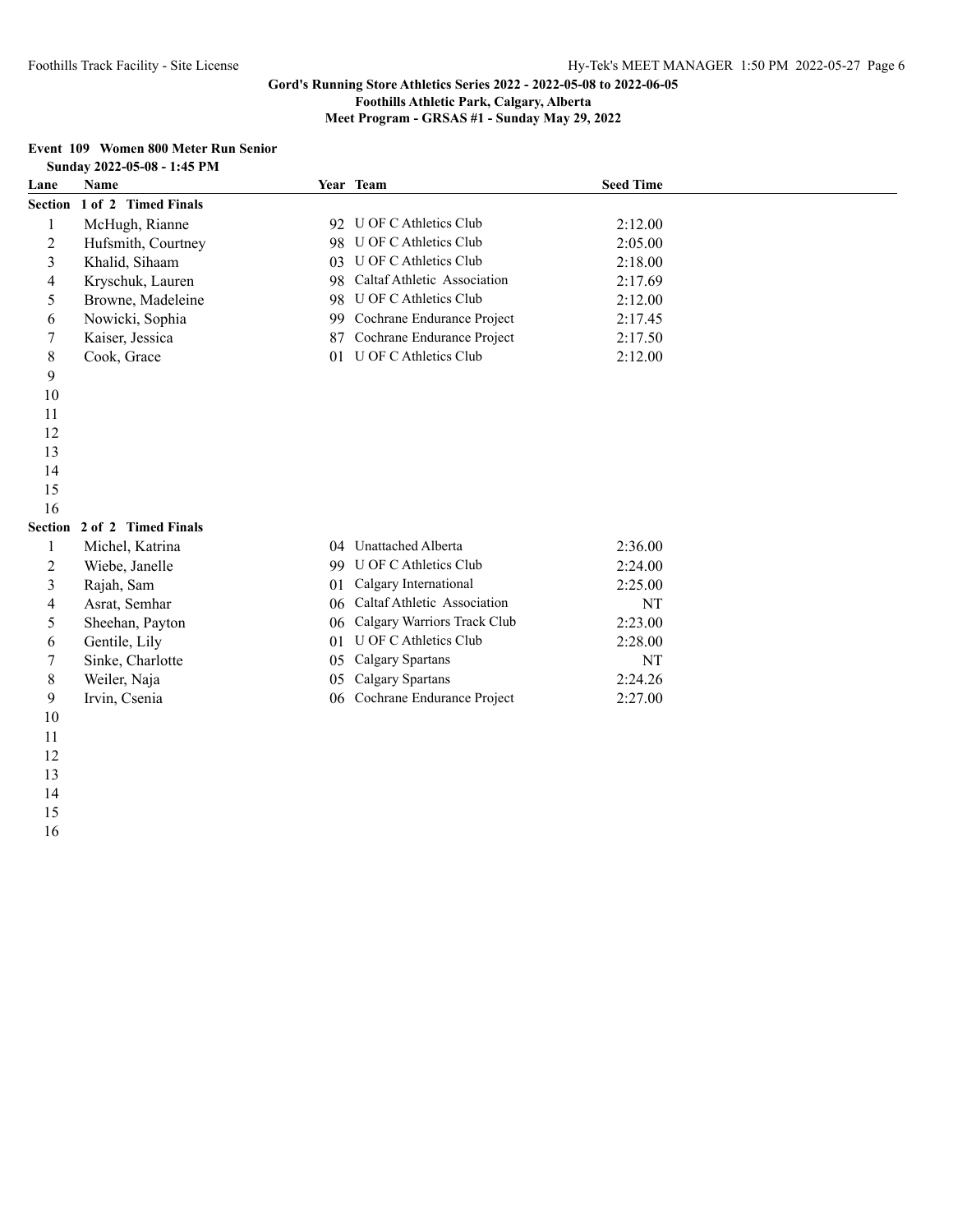**Meet Program - GRSAS #1 - Sunday May 29, 2022**

#### **Event 109 Women 800 Meter Run Senior Sunday 2022-05-08 - 1:45 PM**

|      | SUNUAY 2022-03-08 - 1:45 P.M. |    |                             |                  |  |
|------|-------------------------------|----|-----------------------------|------------------|--|
| Lane | <b>Name</b>                   |    | Year Team                   | <b>Seed Time</b> |  |
|      | Section 1 of 2 Timed Finals   |    |                             |                  |  |
| 1    | McHugh, Rianne                | 92 | U OF C Athletics Club       | 2:12.00          |  |
| 2    | Hufsmith, Courtney            | 98 | U OF C Athletics Club       | 2:05.00          |  |
| 3    | Khalid, Sihaam                | 03 | U OF C Athletics Club       | 2:18.00          |  |
| 4    | Kryschuk, Lauren              | 98 | Caltaf Athletic Association | 2:17.69          |  |
| 5    | Browne, Madeleine             | 98 | U OF C Athletics Club       | 2:12.00          |  |
| 6    | Nowicki, Sophia               | 99 | Cochrane Endurance Project  | 2:17.45          |  |
| 7    | Kaiser, Jessica               | 87 | Cochrane Endurance Project  | 2:17.50          |  |
| 8    | Cook, Grace                   | 01 | U OF C Athletics Club       | 2:12.00          |  |
| 9    |                               |    |                             |                  |  |
| 10   |                               |    |                             |                  |  |
| 11   |                               |    |                             |                  |  |
| 12   |                               |    |                             |                  |  |
| 13   |                               |    |                             |                  |  |
| 14   |                               |    |                             |                  |  |
| 15   |                               |    |                             |                  |  |
| 16   |                               |    |                             |                  |  |
|      | Section 2 of 2 Timed Finals   |    |                             |                  |  |
| 1    | Michel, Katrina               | 04 | Unattached Alberta          | 2:36.00          |  |
| 2    | Wiebe, Janelle                | 99 | U OF C Athletics Club       | 2:24.00          |  |
| 3    | Rajah, Sam                    | 01 | Calgary International       | 2:25.00          |  |
| 4    | Asrat, Semhar                 | 06 | Caltaf Athletic Association | NT               |  |
| 5    | Sheehan, Payton               | 06 | Calgary Warriors Track Club | 2:23.00          |  |
| 6    | Gentile, Lily                 | 01 | U OF C Athletics Club       | 2:28.00          |  |
| 7    | Sinke, Charlotte              | 05 | Calgary Spartans            | NT               |  |

Weiler, Naja 05 Calgary Spartans 2:24.26

- Irvin, Csenia 06 Cochrane Endurance Project 2:27.00
- 
- 
- 
- 
- 
-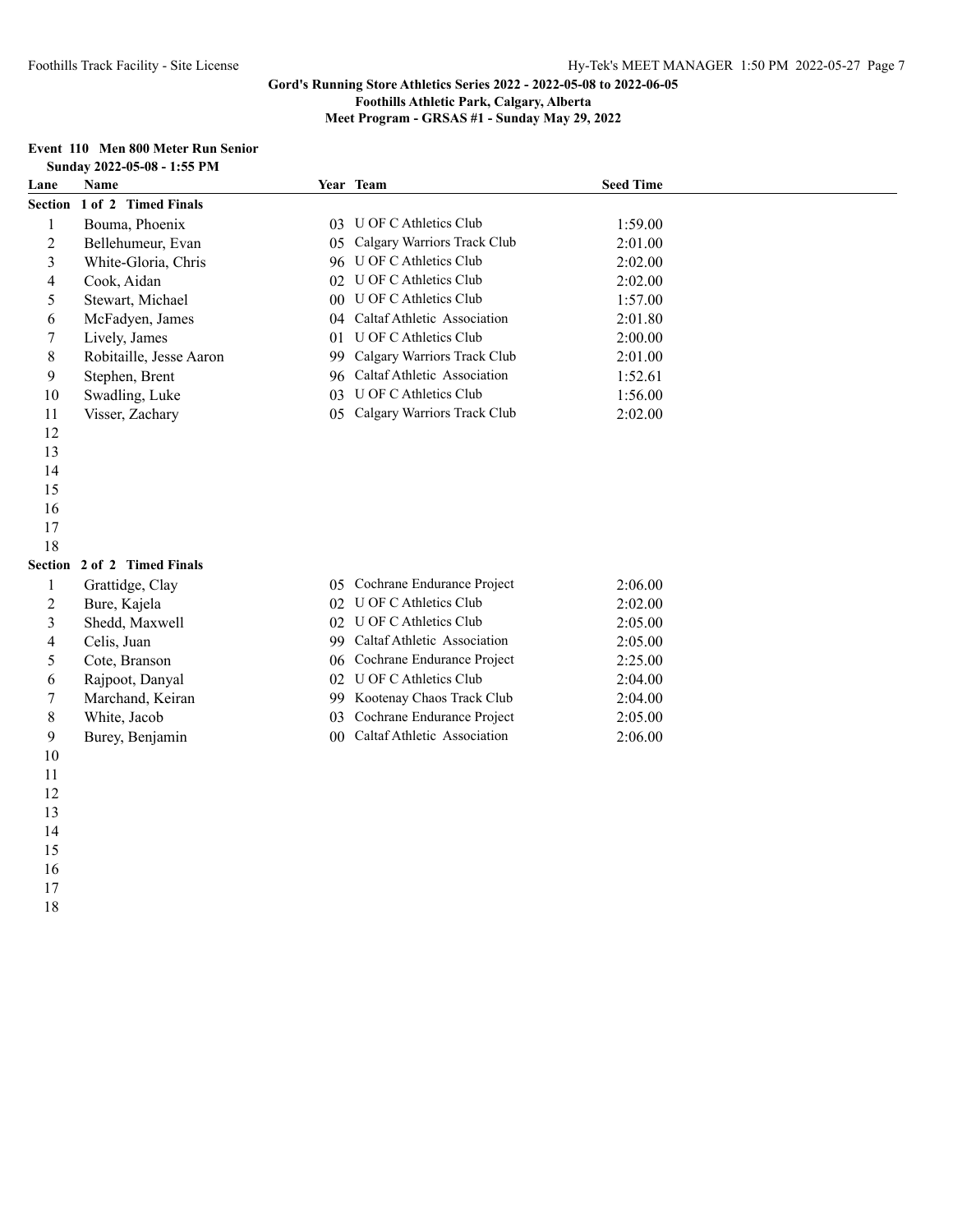**Meet Program - GRSAS #1 - Sunday May 29, 2022**

# **Event 110 Men 800 Meter Run Senior**

|                          | Sunday 2022-05-08 - 1:55 PM |                 |                                |                  |  |
|--------------------------|-----------------------------|-----------------|--------------------------------|------------------|--|
| Lane                     | <b>Name</b>                 |                 | Year Team                      | <b>Seed Time</b> |  |
|                          | Section 1 of 2 Timed Finals |                 |                                |                  |  |
| $\mathbf{1}$             | Bouma, Phoenix              |                 | 03 U OF C Athletics Club       | 1:59.00          |  |
| $\overline{c}$           | Bellehumeur, Evan           |                 | 05 Calgary Warriors Track Club | 2:01.00          |  |
| 3                        | White-Gloria, Chris         |                 | 96 U OF C Athletics Club       | 2:02.00          |  |
| $\overline{\mathcal{L}}$ | Cook, Aidan                 |                 | 02 U OF C Athletics Club       | 2:02.00          |  |
| 5                        | Stewart, Michael            |                 | 00 U OF C Athletics Club       | 1:57.00          |  |
| 6                        | McFadyen, James             |                 | 04 Caltaf Athletic Association | 2:01.80          |  |
| $\tau$                   | Lively, James               |                 | 01 U OF C Athletics Club       | 2:00.00          |  |
| $8\,$                    | Robitaille, Jesse Aaron     | 99              | Calgary Warriors Track Club    | 2:01.00          |  |
| 9                        | Stephen, Brent              |                 | 96 Caltaf Athletic Association | 1:52.61          |  |
| 10                       | Swadling, Luke              |                 | 03 U OF C Athletics Club       | 1:56.00          |  |
| 11                       | Visser, Zachary             | 0 <sub>5</sub>  | Calgary Warriors Track Club    | 2:02.00          |  |
| 12                       |                             |                 |                                |                  |  |
| 13                       |                             |                 |                                |                  |  |
| 14                       |                             |                 |                                |                  |  |
| 15                       |                             |                 |                                |                  |  |
| 16                       |                             |                 |                                |                  |  |
| 17                       |                             |                 |                                |                  |  |
| 18                       |                             |                 |                                |                  |  |
|                          | Section 2 of 2 Timed Finals |                 |                                |                  |  |
| $\mathbf{1}$             | Grattidge, Clay             |                 | 05 Cochrane Endurance Project  | 2:06.00          |  |
| $\overline{c}$           | Bure, Kajela                |                 | 02 U OF C Athletics Club       | 2:02.00          |  |
| 3                        | Shedd, Maxwell              |                 | 02 U OF C Athletics Club       | 2:05.00          |  |
| 4                        | Celis, Juan                 |                 | 99 Caltaf Athletic Association | 2:05.00          |  |
| 5                        | Cote, Branson               |                 | 06 Cochrane Endurance Project  | 2:25.00          |  |
| 6                        | Rajpoot, Danyal             |                 | 02 U OF C Athletics Club       | 2:04.00          |  |
| $\tau$                   | Marchand, Keiran            |                 | 99 Kootenay Chaos Track Club   | 2:04.00          |  |
| $8\,$                    | White, Jacob                | 03              | Cochrane Endurance Project     | 2:05.00          |  |
| 9                        | Burey, Benjamin             | 00 <sup>1</sup> | Caltaf Athletic Association    | 2:06.00          |  |
| $10\,$                   |                             |                 |                                |                  |  |
| 11                       |                             |                 |                                |                  |  |
| 12                       |                             |                 |                                |                  |  |
| 13                       |                             |                 |                                |                  |  |
| 14                       |                             |                 |                                |                  |  |
| 15                       |                             |                 |                                |                  |  |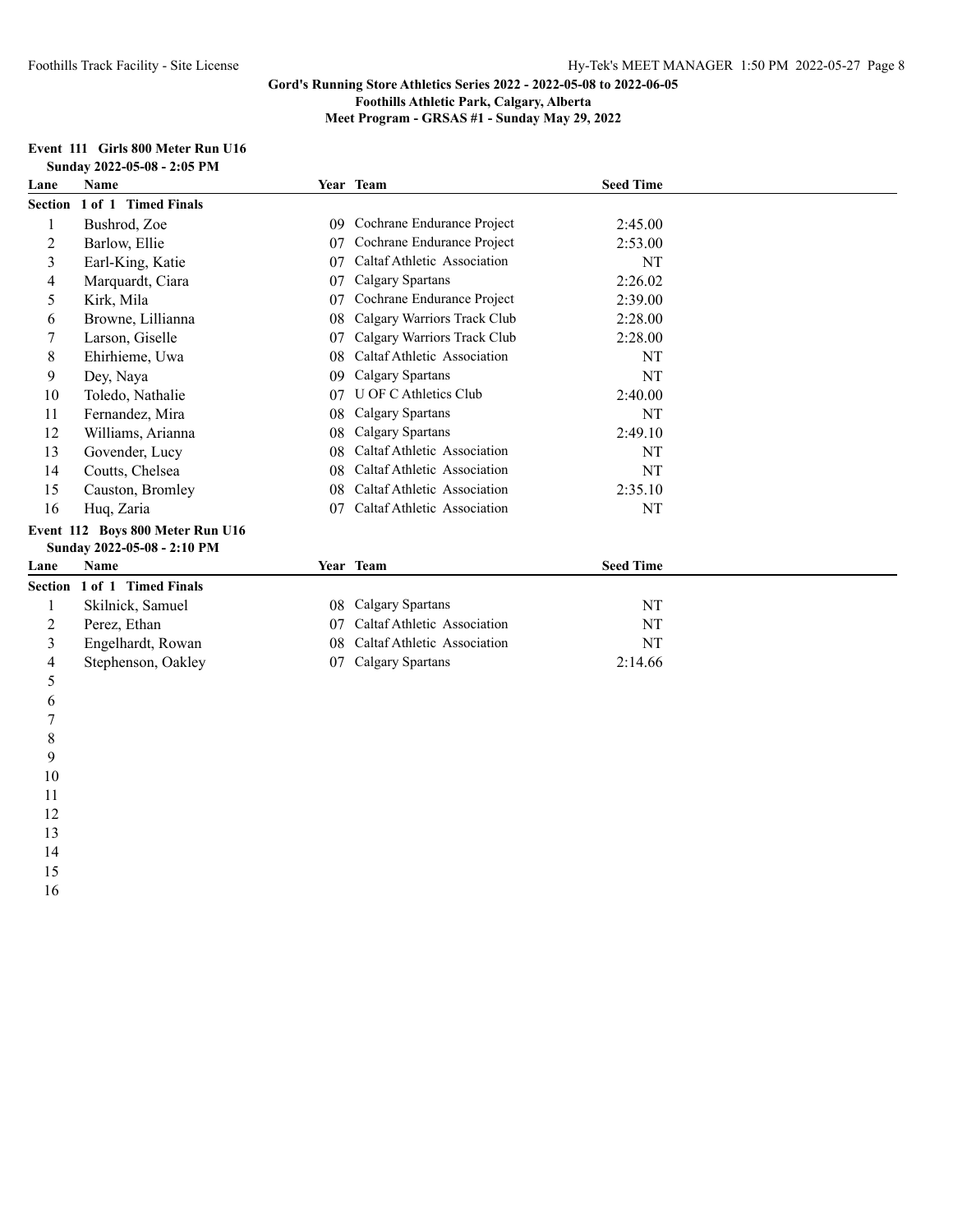**Meet Program - GRSAS #1 - Sunday May 29, 2022**

#### **Event 111 Girls 800 Meter Run U16 Sunday 2022-05-08 - 2:05 PM**

| Lane                    | <b>Name</b>                      |    | Year Team                   | <b>Seed Time</b> |  |
|-------------------------|----------------------------------|----|-----------------------------|------------------|--|
| <b>Section</b>          | 1 of 1 Timed Finals              |    |                             |                  |  |
|                         | Bushrod, Zoe                     | 09 | Cochrane Endurance Project  | 2:45.00          |  |
| 2                       | Barlow, Ellie                    | 07 | Cochrane Endurance Project  | 2:53.00          |  |
| $\overline{\mathbf{3}}$ | Earl-King, Katie                 | 07 | Caltaf Athletic Association | <b>NT</b>        |  |
| 4                       | Marquardt, Ciara                 | 07 | Calgary Spartans            | 2:26.02          |  |
| 5                       | Kirk, Mila                       | 07 | Cochrane Endurance Project  | 2:39.00          |  |
| 6                       | Browne, Lillianna                | 08 | Calgary Warriors Track Club | 2:28.00          |  |
| 7                       | Larson, Giselle                  | 07 | Calgary Warriors Track Club | 2:28.00          |  |
| 8                       | Ehirhieme, Uwa                   | 08 | Caltaf Athletic Association | NT               |  |
| 9                       | Dey, Naya                        | 09 | Calgary Spartans            | NT               |  |
| 10                      | Toledo, Nathalie                 | 07 | U OF C Athletics Club       | 2:40.00          |  |
| 11                      | Fernandez, Mira                  | 08 | Calgary Spartans            | NT               |  |
| 12                      | Williams, Arianna                | 08 | Calgary Spartans            | 2:49.10          |  |
| 13                      | Govender, Lucy                   | 08 | Caltaf Athletic Association | NT               |  |
| 14                      | Coutts, Chelsea                  | 08 | Caltaf Athletic Association | NT               |  |
| 15                      | Causton, Bromley                 | 08 | Caltaf Athletic Association | 2:35.10          |  |
| 16                      | Huq, Zaria                       | 07 | Caltaf Athletic Association | NT               |  |
|                         | Event 112 Boys 800 Meter Run U16 |    |                             |                  |  |
|                         | Sunday 2022-05-08 - 2:10 PM      |    |                             |                  |  |
| Lane                    | <b>Name</b>                      |    | Year Team                   | <b>Seed Time</b> |  |
| Section                 | 1 of 1 Timed Finals              |    |                             |                  |  |
| 1                       | Skilnick, Samuel                 | 08 | Calgary Spartans            | NT               |  |
| 2                       | Perez, Ethan                     | 07 | Caltaf Athletic Association | NT               |  |
| 3                       | Engelhardt, Rowan                | 08 | Caltaf Athletic Association | NT               |  |
| 4                       | Stephenson, Oakley               | 07 | Calgary Spartans            | 2:14.66          |  |
| 5                       |                                  |    |                             |                  |  |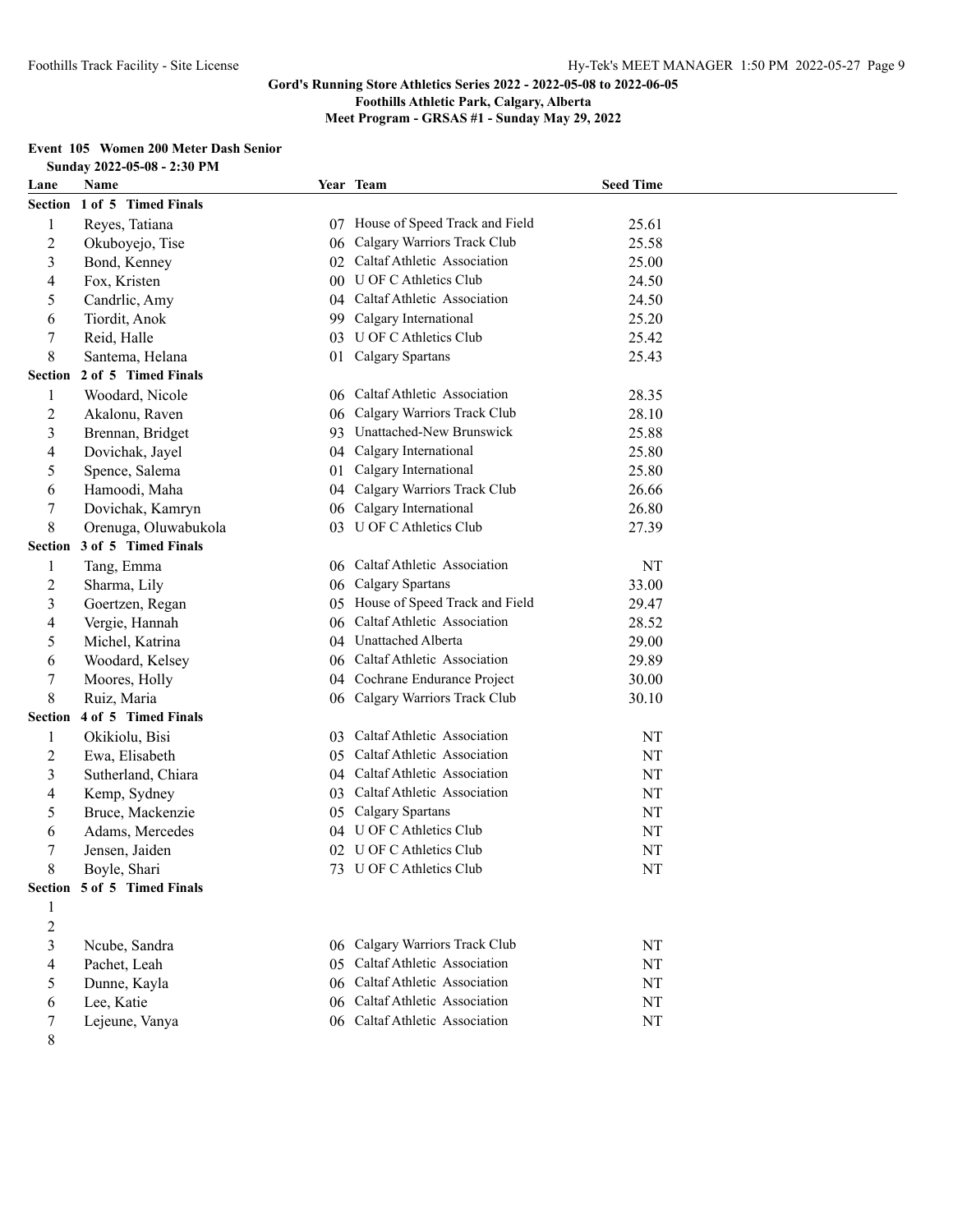**Foothills Athletic Park, Calgary, Alberta**

**Meet Program - GRSAS #1 - Sunday May 29, 2022**

# **Event 105 Women 200 Meter Dash Senior**

|                          | Sunday 2022-05-08 - 2:30 PM |                 |                                |                  |  |
|--------------------------|-----------------------------|-----------------|--------------------------------|------------------|--|
| Lane                     | Name                        |                 | Year Team                      | <b>Seed Time</b> |  |
|                          | Section 1 of 5 Timed Finals |                 |                                |                  |  |
| $\mathbf{1}$             | Reyes, Tatiana              | 07              | House of Speed Track and Field | 25.61            |  |
| $\overline{c}$           | Okuboyejo, Tise             |                 | 06 Calgary Warriors Track Club | 25.58            |  |
| 3                        | Bond, Kenney                |                 | 02 Caltaf Athletic Association | 25.00            |  |
| 4                        | Fox, Kristen                | 00 <sup>1</sup> | U OF C Athletics Club          | 24.50            |  |
| 5                        | Candrlic, Amy               |                 | 04 Caltaf Athletic Association | 24.50            |  |
| 6                        | Tiordit, Anok               | 99              | Calgary International          | 25.20            |  |
| 7                        | Reid, Halle                 | 03              | <b>U OF C Athletics Club</b>   | 25.42            |  |
| 8                        | Santema, Helana             | 01              | Calgary Spartans               | 25.43            |  |
| Section                  | 2 of 5 Timed Finals         |                 |                                |                  |  |
| 1                        | Woodard, Nicole             |                 | 06 Caltaf Athletic Association | 28.35            |  |
| $\overline{c}$           | Akalonu, Raven              | 06              | Calgary Warriors Track Club    | 28.10            |  |
| 3                        | Brennan, Bridget            | 93              | Unattached-New Brunswick       | 25.88            |  |
| $\overline{\mathcal{L}}$ | Dovichak, Jayel             | 04              | Calgary International          | 25.80            |  |
| 5                        | Spence, Salema              | 01              | Calgary International          | 25.80            |  |
| 6                        | Hamoodi, Maha               | 04              | Calgary Warriors Track Club    | 26.66            |  |
| 7                        | Dovichak, Kamryn            | 06              | Calgary International          | 26.80            |  |
| 8                        | Orenuga, Oluwabukola        | 03              | U OF C Athletics Club          | 27.39            |  |
| <b>Section</b>           | 3 of 5 Timed Finals         |                 |                                |                  |  |
| 1                        | Tang, Emma                  |                 | 06 Caltaf Athletic Association | NT               |  |
| $\overline{c}$           | Sharma, Lily                | 06              | Calgary Spartans               | 33.00            |  |
| 3                        | Goertzen, Regan             | 05              | House of Speed Track and Field | 29.47            |  |
| 4                        | Vergie, Hannah              | 06              | Caltaf Athletic Association    | 28.52            |  |
| 5                        | Michel, Katrina             | 04              | Unattached Alberta             | 29.00            |  |
| 6                        | Woodard, Kelsey             |                 | 06 Caltaf Athletic Association | 29.89            |  |
| 7                        | Moores, Holly               |                 | 04 Cochrane Endurance Project  | 30.00            |  |
| 8                        | Ruiz, Maria                 |                 | 06 Calgary Warriors Track Club | 30.10            |  |
| <b>Section</b>           | 4 of 5 Timed Finals         |                 |                                |                  |  |
| $\mathbf{1}$             | Okikiolu, Bisi              |                 | 03 Caltaf Athletic Association | NT               |  |
| $\overline{c}$           | Ewa, Elisabeth              | 05              | Caltaf Athletic Association    | NT               |  |
| 3                        | Sutherland, Chiara          | 04              | Caltaf Athletic Association    | NT               |  |
| 4                        | Kemp, Sydney                | 03              | Caltaf Athletic Association    | NT               |  |
| 5                        | Bruce, Mackenzie            | 05              | Calgary Spartans               | NT               |  |
| 6                        | Adams, Mercedes             | 04              | U OF C Athletics Club          | NT               |  |
| 7                        | Jensen, Jaiden              |                 | 02 U OF C Athletics Club       | NT               |  |
| 8                        | Boyle, Shari                |                 | 73 U OF C Athletics Club       | NT               |  |
|                          | Section 5 of 5 Timed Finals |                 |                                |                  |  |
| 1                        |                             |                 |                                |                  |  |
| $\overline{c}$           |                             |                 |                                |                  |  |
| 3                        | Ncube, Sandra               |                 | 06 Calgary Warriors Track Club | NT               |  |
| $\overline{\mathcal{A}}$ | Pachet, Leah                |                 | 05 Caltaf Athletic Association | $\rm{NT}$        |  |
| 5                        | Dunne, Kayla                |                 | 06 Caltaf Athletic Association | NT               |  |
| 6                        | Lee, Katie                  |                 | 06 Caltaf Athletic Association | $\rm{NT}$        |  |
| 7                        | Lejeune, Vanya              |                 | 06 Caltaf Athletic Association | NT               |  |
| 8                        |                             |                 |                                |                  |  |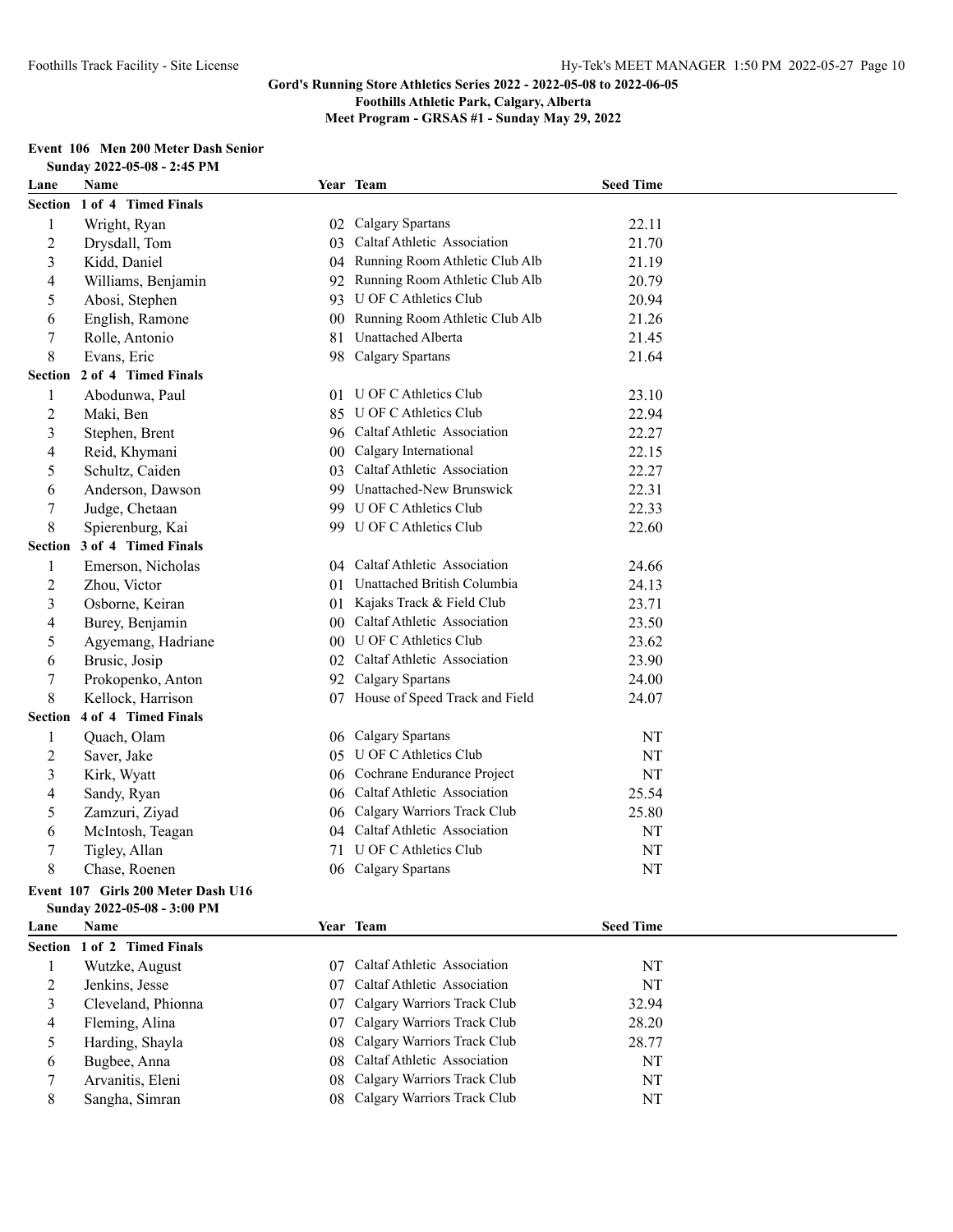**Foothills Athletic Park, Calgary, Alberta**

**Meet Program - GRSAS #1 - Sunday May 29, 2022**

## **Event 106 Men 200 Meter Dash Senior**

|                  | Sunday 2022-05-08 - 2:45 PM        |                 |                                   |                  |  |
|------------------|------------------------------------|-----------------|-----------------------------------|------------------|--|
| Lane             | Name                               |                 | Year Team                         | <b>Seed Time</b> |  |
| Section          | 1 of 4 Timed Finals                |                 |                                   |                  |  |
| 1                | Wright, Ryan                       |                 | 02 Calgary Spartans               | 22.11            |  |
| $\overline{c}$   | Drysdall, Tom                      | 03              | Caltaf Athletic Association       | 21.70            |  |
| $\mathfrak{Z}$   | Kidd, Daniel                       | 04              | Running Room Athletic Club Alb    | 21.19            |  |
| 4                | Williams, Benjamin                 | 92              | Running Room Athletic Club Alb    | 20.79            |  |
| 5                | Abosi, Stephen                     | 93              | U OF C Athletics Club             | 20.94            |  |
| 6                | English, Ramone                    | 00 <sup>°</sup> | Running Room Athletic Club Alb    | 21.26            |  |
| 7                | Rolle, Antonio                     | 81              | Unattached Alberta                | 21.45            |  |
| 8                | Evans, Eric                        | 98              | Calgary Spartans                  | 21.64            |  |
| <b>Section</b>   | 2 of 4 Timed Finals                |                 |                                   |                  |  |
| 1                | Abodunwa, Paul                     | 01              | U OF C Athletics Club             | 23.10            |  |
| $\overline{c}$   | Maki, Ben                          | 85              | U OF C Athletics Club             | 22.94            |  |
| 3                | Stephen, Brent                     |                 | 96 Caltaf Athletic Association    | 22.27            |  |
| 4                | Reid, Khymani                      | 00              | Calgary International             | 22.15            |  |
| 5                | Schultz, Caiden                    | 03              | Caltaf Athletic Association       | 22.27            |  |
| 6                | Anderson, Dawson                   |                 | 99 Unattached-New Brunswick       | 22.31            |  |
| 7                | Judge, Chetaan                     |                 | 99 U OF C Athletics Club          | 22.33            |  |
| 8                | Spierenburg, Kai                   |                 | 99 U OF C Athletics Club          | 22.60            |  |
| <b>Section</b>   | 3 of 4 Timed Finals                |                 |                                   |                  |  |
| 1                | Emerson, Nicholas                  |                 | 04 Caltaf Athletic Association    | 24.66            |  |
| $\boldsymbol{2}$ | Zhou, Victor                       | 01              | Unattached British Columbia       | 24.13            |  |
| 3                | Osborne, Keiran                    |                 | 01 Kajaks Track & Field Club      | 23.71            |  |
| 4                | Burey, Benjamin                    |                 | 00 Caltaf Athletic Association    | 23.50            |  |
| 5                | Agyemang, Hadriane                 |                 | 00 U OF C Athletics Club          | 23.62            |  |
| 6                | Brusic, Josip                      |                 | 02 Caltaf Athletic Association    | 23.90            |  |
| $\tau$           | Prokopenko, Anton                  |                 | 92 Calgary Spartans               | 24.00            |  |
| 8                | Kellock, Harrison                  |                 | 07 House of Speed Track and Field | 24.07            |  |
| <b>Section</b>   | 4 of 4 Timed Finals                |                 |                                   |                  |  |
| 1                | Quach, Olam                        |                 | 06 Calgary Spartans               | NT               |  |
| $\overline{c}$   | Saver, Jake                        | 05              | U OF C Athletics Club             | NT               |  |
| $\mathfrak{Z}$   | Kirk, Wyatt                        |                 | 06 Cochrane Endurance Project     | NT               |  |
| 4                | Sandy, Ryan                        |                 | 06 Caltaf Athletic Association    | 25.54            |  |
| 5                | Zamzuri, Ziyad                     |                 | 06 Calgary Warriors Track Club    | 25.80            |  |
| 6                | McIntosh, Teagan                   | 04              | Caltaf Athletic Association       | NT               |  |
| 7                | Tigley, Allan                      | 71              | U OF C Athletics Club             | NT               |  |
| 8                | Chase, Roenen                      |                 | 06 Calgary Spartans               | NT               |  |
|                  | Event 107 Girls 200 Meter Dash U16 |                 |                                   |                  |  |
|                  | Sunday 2022-05-08 - 3:00 PM        |                 |                                   |                  |  |
| Lane             | Name                               |                 | Year Team                         | <b>Seed Time</b> |  |
| Section          | 1 of 2 Timed Finals                |                 |                                   |                  |  |
| 1                | Wutzke, August                     |                 | 07 Caltaf Athletic Association    | NT               |  |
| $\overline{c}$   | Jenkins, Jesse                     | 07              | Caltaf Athletic Association       | NT               |  |
| 3                | Cleveland, Phionna                 | 07              | Calgary Warriors Track Club       | 32.94            |  |
| 4                | Fleming, Alina                     | 07              | Calgary Warriors Track Club       | 28.20            |  |
| 5                | Harding, Shayla                    | 08              | Calgary Warriors Track Club       | 28.77            |  |

 Bugbee, Anna 08 Caltaf Athletic Association NT Arvanitis, Eleni 08 Calgary Warriors Track Club NT Sangha, Simran 08 Calgary Warriors Track Club NT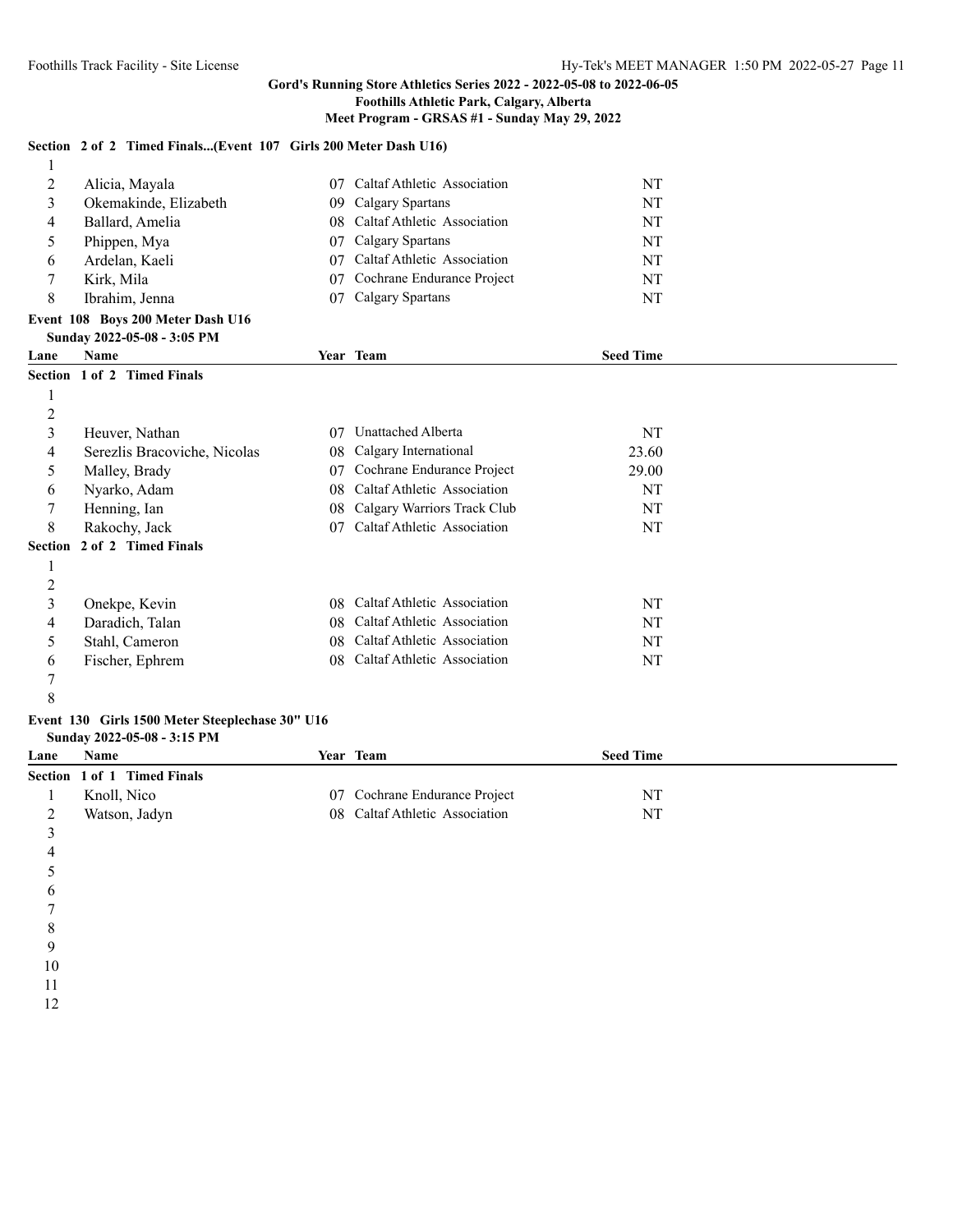### **Foothills Athletic Park, Calgary, Alberta**

**Meet Program - GRSAS #1 - Sunday May 29, 2022**

#### **Section 2 of 2 Timed Finals...(Event 107 Girls 200 Meter Dash U16)**

| 2              | Alicia, Mayala                    | 07 | Caltaf Athletic Association | NT               |  |
|----------------|-----------------------------------|----|-----------------------------|------------------|--|
| 3              | Okemakinde, Elizabeth             | 09 | Calgary Spartans            | NT               |  |
| 4              | Ballard, Amelia                   | 08 | Caltaf Athletic Association | <b>NT</b>        |  |
| 5              | Phippen, Mya                      | 07 | Calgary Spartans            | NT               |  |
| 6              | Ardelan, Kaeli                    | 07 | Caltaf Athletic Association | NT               |  |
| 7              | Kirk, Mila                        | 07 | Cochrane Endurance Project  | NT               |  |
| 8              | Ibrahim, Jenna                    | 07 | Calgary Spartans            | <b>NT</b>        |  |
|                | Event 108 Boys 200 Meter Dash U16 |    |                             |                  |  |
|                | Sunday 2022-05-08 - 3:05 PM       |    |                             |                  |  |
| Lane           | Name                              |    | Year Team                   | <b>Seed Time</b> |  |
|                | Section 1 of 2 Timed Finals       |    |                             |                  |  |
|                |                                   |    |                             |                  |  |
|                |                                   |    |                             |                  |  |
| $\overline{c}$ |                                   |    |                             |                  |  |
| 3              | Heuver, Nathan                    | 07 | Unattached Alberta          | NT               |  |
| 4              | Serezlis Bracoviche, Nicolas      | 08 | Calgary International       | 23.60            |  |
| 5              | Malley, Brady                     | 07 | Cochrane Endurance Project  | 29.00            |  |
| 6              | Nyarko, Adam                      | 08 | Caltaf Athletic Association | NT               |  |
| 7              | Henning, Ian                      | 08 | Calgary Warriors Track Club | NT               |  |
| 8              | Rakochy, Jack                     | 07 | Caltaf Athletic Association | NT               |  |
| Section        | 2 of 2 Timed Finals               |    |                             |                  |  |
|                |                                   |    |                             |                  |  |

| Onekpe, Kevin   | 08 Caltaf Athletic Association | NT |
|-----------------|--------------------------------|----|
| Daradich, Talan | 08 Caltaf Athletic Association | NT |
| Stahl, Cameron  | 08 Caltaf Athletic Association | NT |
| Fischer, Ephrem | 08 Caltaf Athletic Association | NT |
|                 |                                |    |

 

#### **Event 130 Girls 1500 Meter Steeplechase 30" U16 Sunday 2022-05-08 - 3:15 PM**

| Lane | Name                        | Year Team                      | <b>Seed Time</b> |
|------|-----------------------------|--------------------------------|------------------|
|      | Section 1 of 1 Timed Finals |                                |                  |
|      | Knoll, Nico                 | 07 Cochrane Endurance Project  | NT               |
| ∼    | Watson, Jadyn               | 08 Caltaf Athletic Association | NT               |
|      |                             |                                |                  |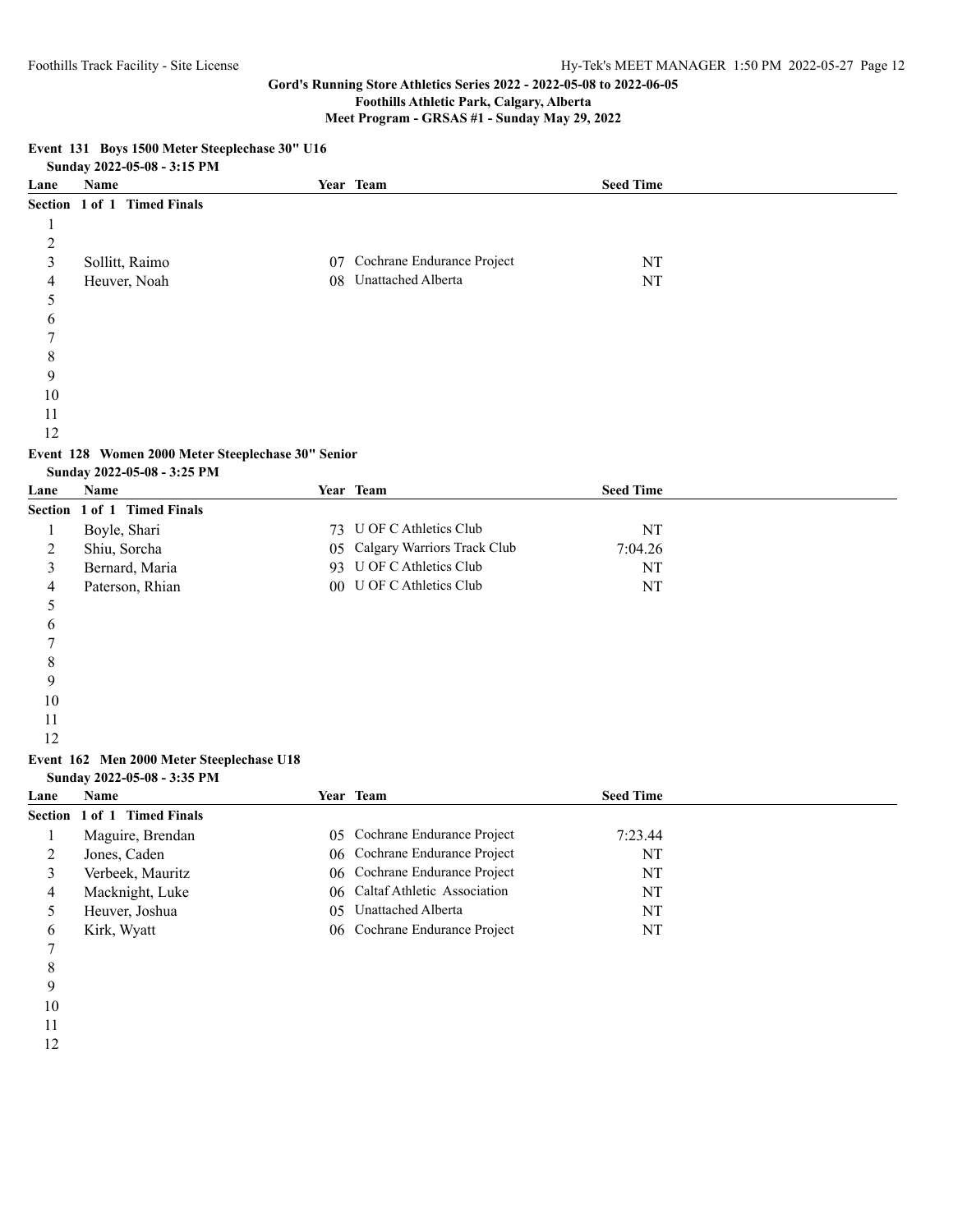**Event 131 Boys 1500 Meter Steeplechase 30" U16**

## **Gord's Running Store Athletics Series 2022 - 2022-05-08 to 2022-06-05**

**Foothills Athletic Park, Calgary, Alberta**

**Meet Program - GRSAS #1 - Sunday May 29, 2022**

### **Sunday 2022-05-08 - 3:15 PM Lane Name Year Team Seed Time Section 1 of 1 Timed Finals** Sollitt, Raimo 07 Cochrane Endurance Project NT Heuver, Noah 08 Unattached Alberta NT

# **Event 128 Women 2000 Meter Steeplechase 30" Senior**

|  | Sunday 2022-05-08 - 3:25 PM |  |
|--|-----------------------------|--|
|--|-----------------------------|--|

| Lane | Name                        | Year | <b>Team</b>                    | <b>Seed Time</b> |  |
|------|-----------------------------|------|--------------------------------|------------------|--|
|      | Section 1 of 1 Timed Finals |      |                                |                  |  |
|      | Boyle, Shari                |      | 73 U OF C Athletics Club       | NT               |  |
| ∠    | Shiu, Sorcha                |      | 05 Calgary Warriors Track Club | 7:04.26          |  |
|      | Bernard, Maria              |      | 93 U OF C Athletics Club       | NT               |  |
| 4    | Paterson, Rhian             |      | 00 U OF C Athletics Club       | <b>NT</b>        |  |
|      |                             |      |                                |                  |  |

#### **Event 162 Men 2000 Meter Steeplechase U18 Sunday 2022-05-08 - 3:35 PM**

| Lane | <b>Name</b>                 |     | Year Team                      | <b>Seed Time</b> |  |
|------|-----------------------------|-----|--------------------------------|------------------|--|
|      | Section 1 of 1 Timed Finals |     |                                |                  |  |
|      | Maguire, Brendan            |     | 05 Cochrane Endurance Project  | 7:23.44          |  |
|      | Jones, Caden                |     | 06 Cochrane Endurance Project  | NT               |  |
|      | Verbeek, Mauritz            |     | 06 Cochrane Endurance Project  | NT               |  |
|      | Macknight, Luke             |     | 06 Caltaf Athletic Association | NT               |  |
|      | Heuver, Joshua              | 05. | Unattached Alberta             | NT               |  |
|      | Kirk, Wyatt                 |     | 06 Cochrane Endurance Project  | NT               |  |
|      |                             |     |                                |                  |  |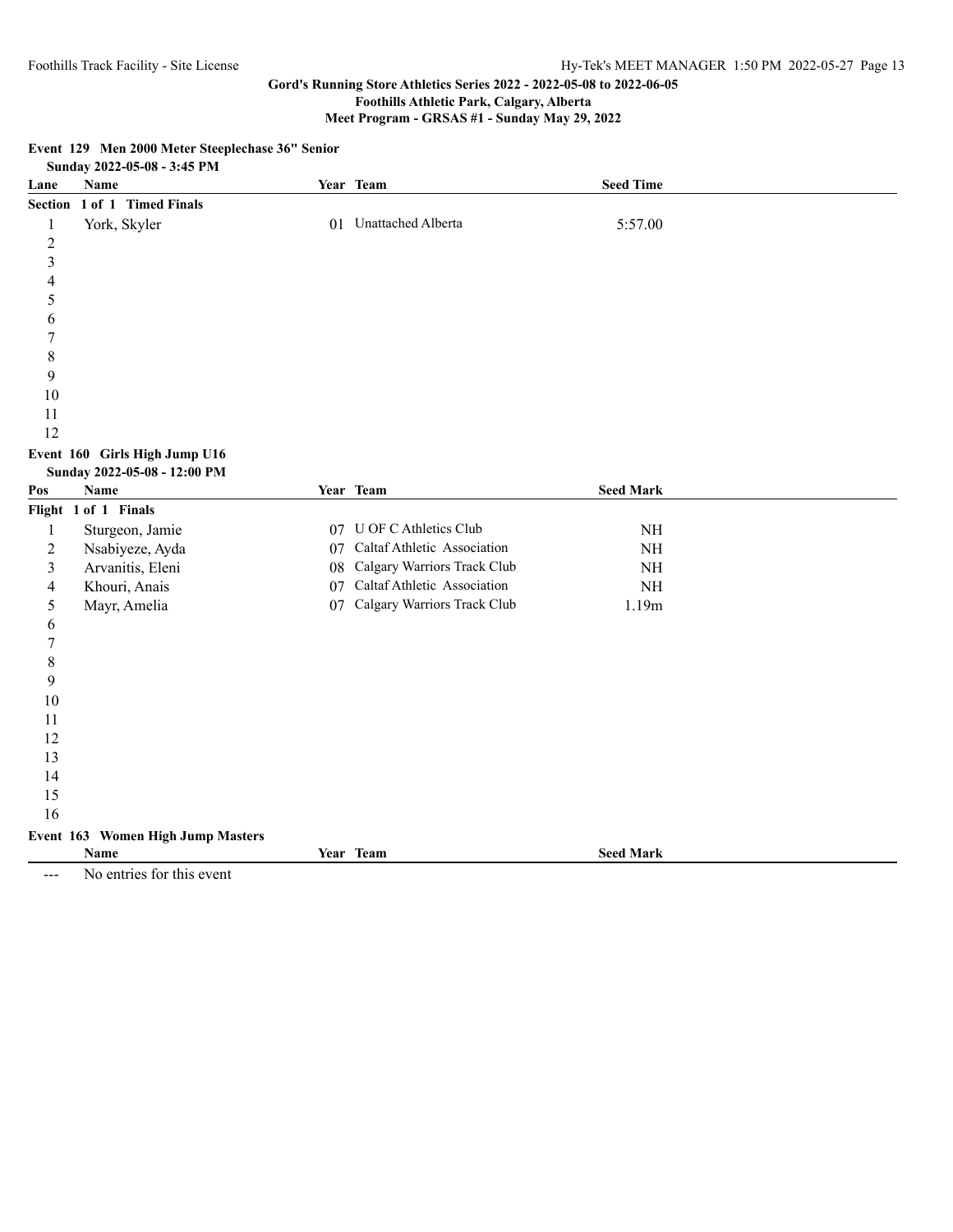# **Foothills Athletic Park, Calgary, Alberta**

**Meet Program - GRSAS #1 - Sunday May 29, 2022**

|                         | <b><i><u>Registered</u> Properties</i></b><br>Sunday 2022-05-08 - 3:45 PM |    |                                |                  |  |
|-------------------------|---------------------------------------------------------------------------|----|--------------------------------|------------------|--|
| Lane                    | <b>Name</b>                                                               |    | Year Team                      | <b>Seed Time</b> |  |
|                         | Section 1 of 1 Timed Finals                                               |    |                                |                  |  |
| 1                       | York, Skyler                                                              |    | 01 Unattached Alberta          | 5:57.00          |  |
| $\overline{c}$          |                                                                           |    |                                |                  |  |
| $\overline{\mathbf{3}}$ |                                                                           |    |                                |                  |  |
| $\overline{4}$          |                                                                           |    |                                |                  |  |
| 5                       |                                                                           |    |                                |                  |  |
| 6                       |                                                                           |    |                                |                  |  |
| 7                       |                                                                           |    |                                |                  |  |
| 8                       |                                                                           |    |                                |                  |  |
| 9                       |                                                                           |    |                                |                  |  |
| 10                      |                                                                           |    |                                |                  |  |
| 11                      |                                                                           |    |                                |                  |  |
| 12                      |                                                                           |    |                                |                  |  |
|                         | Event 160 Girls High Jump U16                                             |    |                                |                  |  |
| Pos                     | Sunday 2022-05-08 - 12:00 PM<br>Name                                      |    | Year Team                      | <b>Seed Mark</b> |  |
|                         | Flight 1 of 1 Finals                                                      |    |                                |                  |  |
| 1                       | Sturgeon, Jamie                                                           |    | 07 U OF C Athletics Club       | $\rm NH$         |  |
| $\overline{c}$          | Nsabiyeze, Ayda                                                           |    | 07 Caltaf Athletic Association | $\rm{NH}$        |  |
| 3                       | Arvanitis, Eleni                                                          | 08 | Calgary Warriors Track Club    | $\rm{NH}$        |  |
| 4                       | Khouri, Anais                                                             |    | 07 Caltaf Athletic Association | $\rm{NH}$        |  |
| 5                       | Mayr, Amelia                                                              |    | 07 Calgary Warriors Track Club | 1.19m            |  |
| 6                       |                                                                           |    |                                |                  |  |
| 7                       |                                                                           |    |                                |                  |  |
| 8                       |                                                                           |    |                                |                  |  |
| 9                       |                                                                           |    |                                |                  |  |
| 10                      |                                                                           |    |                                |                  |  |
| 11                      |                                                                           |    |                                |                  |  |
| 12                      |                                                                           |    |                                |                  |  |
| 13                      |                                                                           |    |                                |                  |  |
| 14                      |                                                                           |    |                                |                  |  |
| 15                      |                                                                           |    |                                |                  |  |
| 16                      |                                                                           |    |                                |                  |  |
|                         | Event 163 Women High Jump Masters                                         |    |                                |                  |  |
|                         | Name                                                                      |    | Year Team                      | <b>Seed Mark</b> |  |

**Event 129 Men 2000 Meter Steeplechase 36" Senior**

--- No entries for this event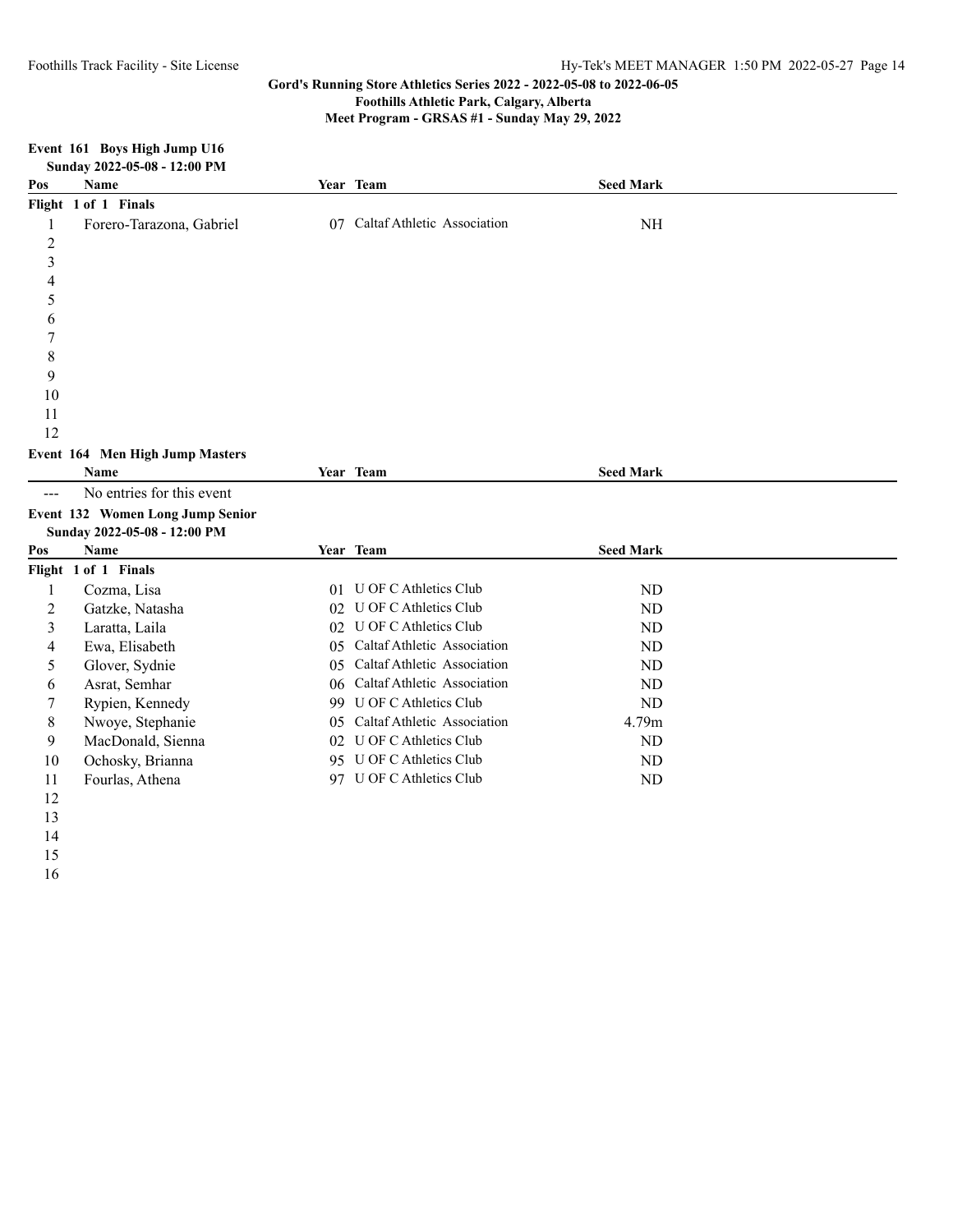**Meet Program - GRSAS #1 - Sunday May 29, 2022**

|                         | Sunday 2022-05-08 - 12:00 PM     |     |                                |                  |  |
|-------------------------|----------------------------------|-----|--------------------------------|------------------|--|
| Pos                     | Name                             |     | Year Team                      | <b>Seed Mark</b> |  |
|                         | Flight 1 of 1 Finals             |     |                                |                  |  |
| 1                       | Forero-Tarazona, Gabriel         |     | 07 Caltaf Athletic Association | <b>NH</b>        |  |
| $\overline{c}$          |                                  |     |                                |                  |  |
| $\overline{\mathbf{3}}$ |                                  |     |                                |                  |  |
| 4                       |                                  |     |                                |                  |  |
| 5                       |                                  |     |                                |                  |  |
| 6                       |                                  |     |                                |                  |  |
| 7                       |                                  |     |                                |                  |  |
| 8                       |                                  |     |                                |                  |  |
| 9                       |                                  |     |                                |                  |  |
| 10                      |                                  |     |                                |                  |  |
| 11                      |                                  |     |                                |                  |  |
| 12                      |                                  |     |                                |                  |  |
|                         | Event 164 Men High Jump Masters  |     |                                |                  |  |
|                         | Name                             |     | Year Team                      | <b>Seed Mark</b> |  |
| $---$                   | No entries for this event        |     |                                |                  |  |
|                         | Event 132 Women Long Jump Senior |     |                                |                  |  |
|                         | Sunday 2022-05-08 - 12:00 PM     |     |                                |                  |  |
| Pos                     | Name                             |     | Year Team                      | <b>Seed Mark</b> |  |
|                         | Flight 1 of 1 Finals             |     |                                |                  |  |
| $\mathbf{1}$            | Cozma, Lisa                      |     | 01 U OF C Athletics Club       | ND               |  |
| 2                       | Gatzke, Natasha                  |     | 02 U OF C Athletics Club       | ND               |  |
| 3                       | Laratta, Laila                   |     | 02 U OF C Athletics Club       | ND               |  |
| 4                       | Ewa, Elisabeth                   |     | 05 Caltaf Athletic Association | <b>ND</b>        |  |
| 5                       | Glover, Sydnie                   | 05. | Caltaf Athletic Association    | ND               |  |
| 6                       | Asrat, Semhar                    |     | 06 Caltaf Athletic Association | ND               |  |
| 7                       | Rypien, Kennedy                  |     | 99 U OF C Athletics Club       | <b>ND</b>        |  |
| 8                       | Nwoye, Stephanie                 |     | 05 Caltaf Athletic Association | 4.79m            |  |
| 9                       | MacDonald, Sienna                |     | 02 U OF C Athletics Club       | ND               |  |
| 10                      | Ochosky, Brianna                 |     | 95 U OF C Athletics Club       | ND               |  |
| 11                      | Fourlas, Athena                  |     | 97 U OF C Athletics Club       | ND               |  |
| 12                      |                                  |     |                                |                  |  |
| 13                      |                                  |     |                                |                  |  |

# **Event 161 Boys High Jump U16**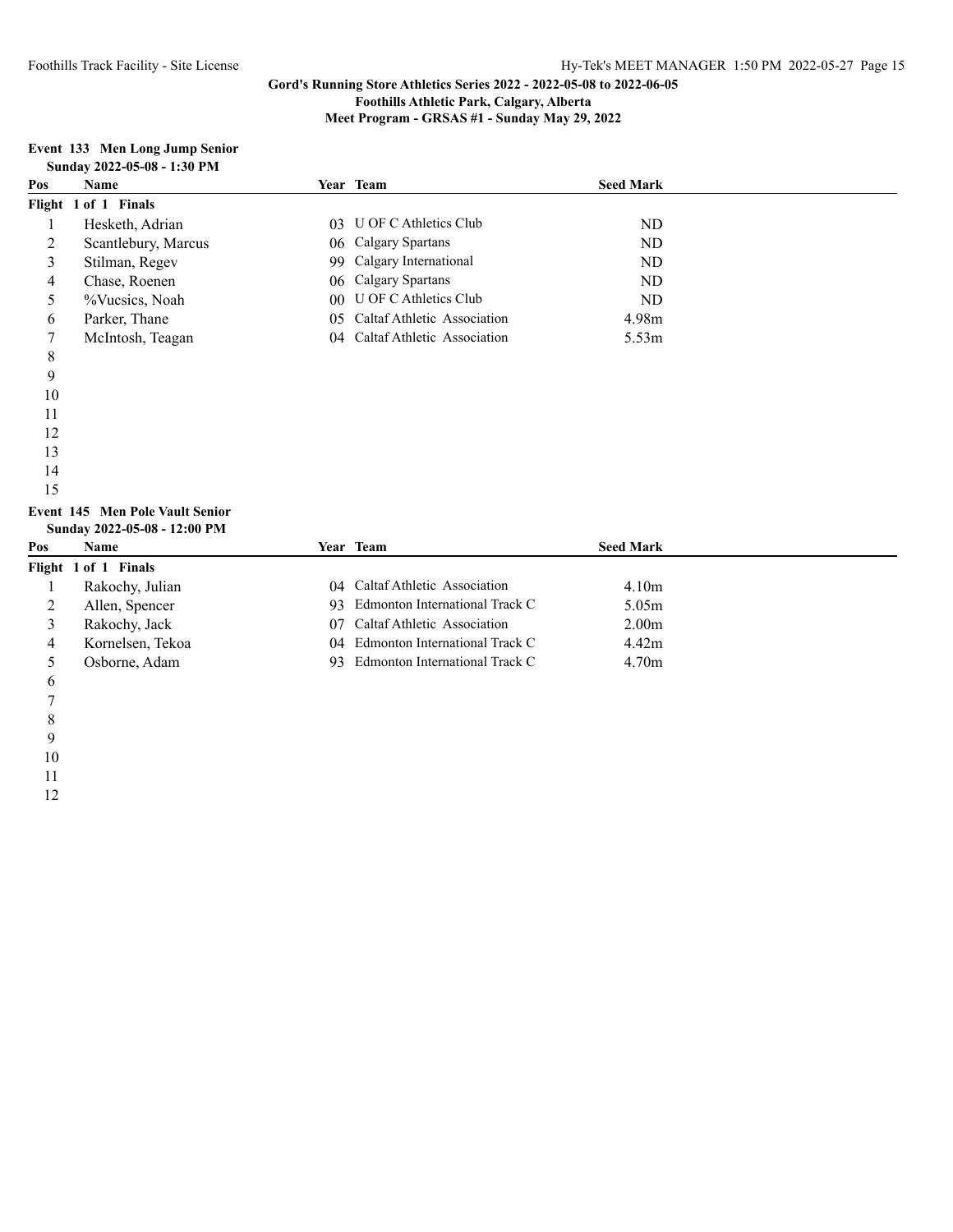**Foothills Athletic Park, Calgary, Alberta**

**Meet Program - GRSAS #1 - Sunday May 29, 2022**

#### **Event 133 Men Long Jump Senior Sunday 2022-05-08 - 1:30 PM**

| Pos | <b>Name</b>          | <b>Year Team</b>               | <b>Seed Mark</b>  |  |
|-----|----------------------|--------------------------------|-------------------|--|
|     | Flight 1 of 1 Finals |                                |                   |  |
|     | Hesketh, Adrian      | 03 U OF C Athletics Club       | ND                |  |
| 2   | Scantlebury, Marcus  | 06 Calgary Spartans            | ND                |  |
| 3   | Stilman, Regev       | 99 Calgary International       | ND                |  |
| 4   | Chase, Roenen        | 06 Calgary Spartans            | ND                |  |
|     | %Vucsics, Noah       | 00 U OF C Athletics Club       | ND.               |  |
| 6   | Parker, Thane        | 05 Caltaf Athletic Association | 4.98m             |  |
|     | McIntosh, Teagan     | 04 Caltaf Athletic Association | 5.53 <sub>m</sub> |  |
|     |                      |                                |                   |  |

- 
- 
- 
- 
- 
- 
- 
- 
- 
- 
- 

#### **Event 145 Men Pole Vault Senior Sunday 2022-05-08 - 12:00 PM**

| Pos | <b>Name</b>          | <b>Year Team</b>                  | <b>Seed Mark</b>  |
|-----|----------------------|-----------------------------------|-------------------|
|     | Flight 1 of 1 Finals |                                   |                   |
|     | Rakochy, Julian      | 04 Caltaf Athletic Association    | 4.10 <sub>m</sub> |
|     | Allen, Spencer       | 93 Edmonton International Track C | 5.05m             |
|     | Rakochy, Jack        | 07 Caltaf Athletic Association    | 2.00 <sub>m</sub> |
|     | Kornelsen, Tekoa     | 04 Edmonton International Track C | 4.42m             |
|     | Osborne, Adam        | 93 Edmonton International Track C | 4.70 <sub>m</sub> |
|     |                      |                                   |                   |

- 
- 
- 
- 
- 
- 
-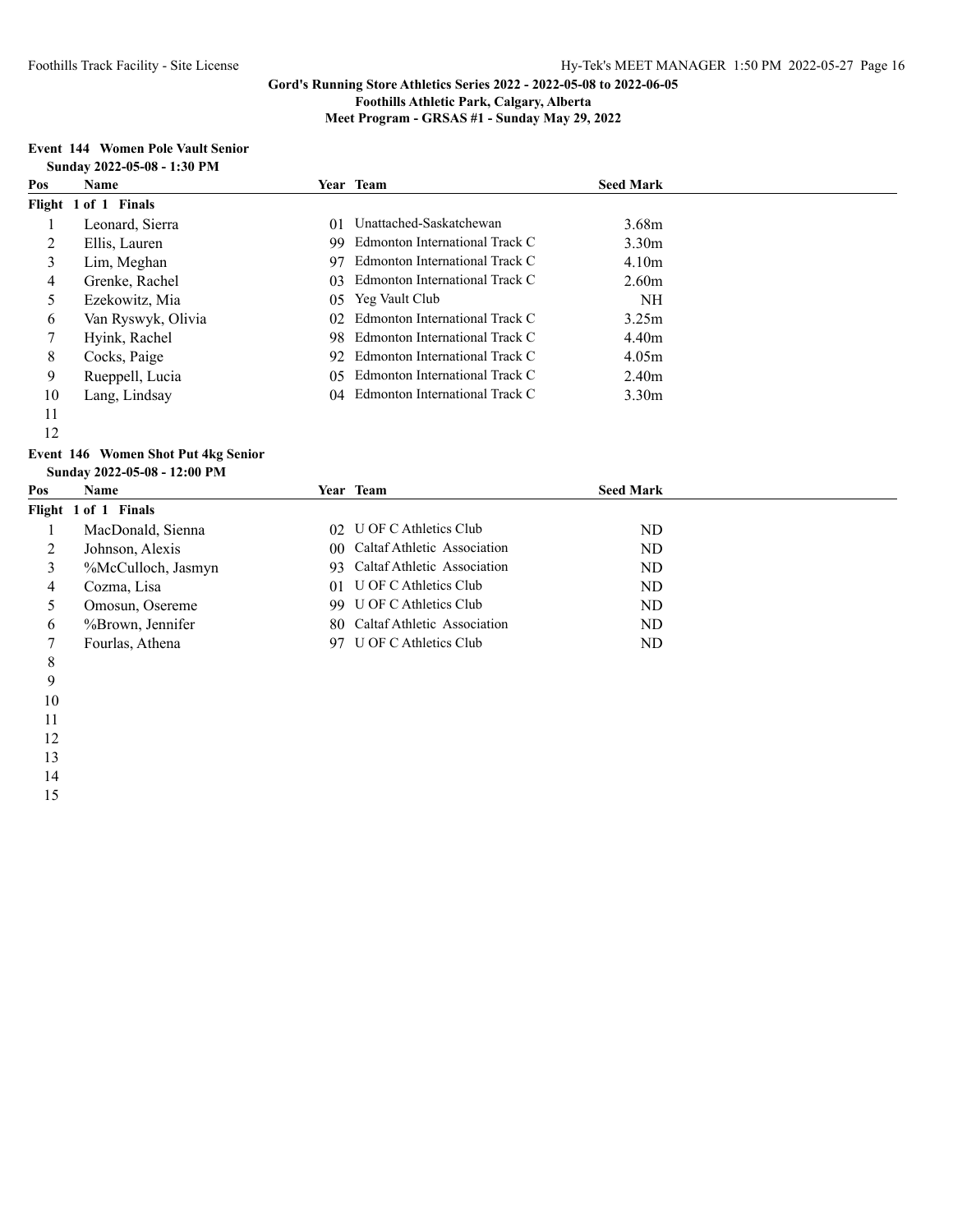**Foothills Athletic Park, Calgary, Alberta**

**Meet Program - GRSAS #1 - Sunday May 29, 2022**

#### **Event 144 Women Pole Vault Senior Sunday 2022-05-08 - 1:30 PM**

| Pos | <b>Name</b>          |     | Year Team                      | <b>Seed Mark</b>  |  |
|-----|----------------------|-----|--------------------------------|-------------------|--|
|     | Flight 1 of 1 Finals |     |                                |                   |  |
|     | Leonard, Sierra      | 01  | Unattached-Saskatchewan        | 3.68 <sub>m</sub> |  |
|     | Ellis, Lauren        | 99  | Edmonton International Track C | 3.30 <sub>m</sub> |  |
| 3   | Lim, Meghan          | 97  | Edmonton International Track C | 4.10 <sub>m</sub> |  |
| 4   | Grenke, Rachel       | 03. | Edmonton International Track C | 2.60 <sub>m</sub> |  |
|     | Ezekowitz, Mia       | 05  | Yeg Vault Club                 | NH                |  |
| 6   | Van Ryswyk, Olivia   | 02. | Edmonton International Track C | 3.25m             |  |
|     | Hyink, Rachel        | 98. | Edmonton International Track C | 4.40m             |  |
| 8   | Cocks, Paige         | 92  | Edmonton International Track C | 4.05m             |  |
| 9   | Rueppell, Lucia      | 05  | Edmonton International Track C | 2.40 <sub>m</sub> |  |
| 10  | Lang, Lindsay        | 04  | Edmonton International Track C | 3.30 <sub>m</sub> |  |
| 11  |                      |     |                                |                   |  |

- 
- 

#### **Event 146 Women Shot Put 4kg Senior Sunday 2022-05-08 - 12:00 PM**

| Pos | Name                 | Year Team                      | <b>Seed Mark</b> |  |
|-----|----------------------|--------------------------------|------------------|--|
|     | Flight 1 of 1 Finals |                                |                  |  |
|     | MacDonald, Sienna    | 02 U OF C Athletics Club       | ND               |  |
|     | Johnson, Alexis      | 00 Caltaf Athletic Association | ND               |  |
|     | %McCulloch, Jasmyn   | 93 Caltaf Athletic Association | ND               |  |
| 4   | Cozma, Lisa          | 01 U OF C Athletics Club       | ND               |  |
|     | Omosun, Osereme      | 99 U OF C Athletics Club       | ND.              |  |
| 6   | %Brown, Jennifer     | 80 Caltaf Athletic Association | ND               |  |
|     | Fourlas, Athena      | 97 U OF C Athletics Club       | ND               |  |
| 8   |                      |                                |                  |  |

- 
- 
-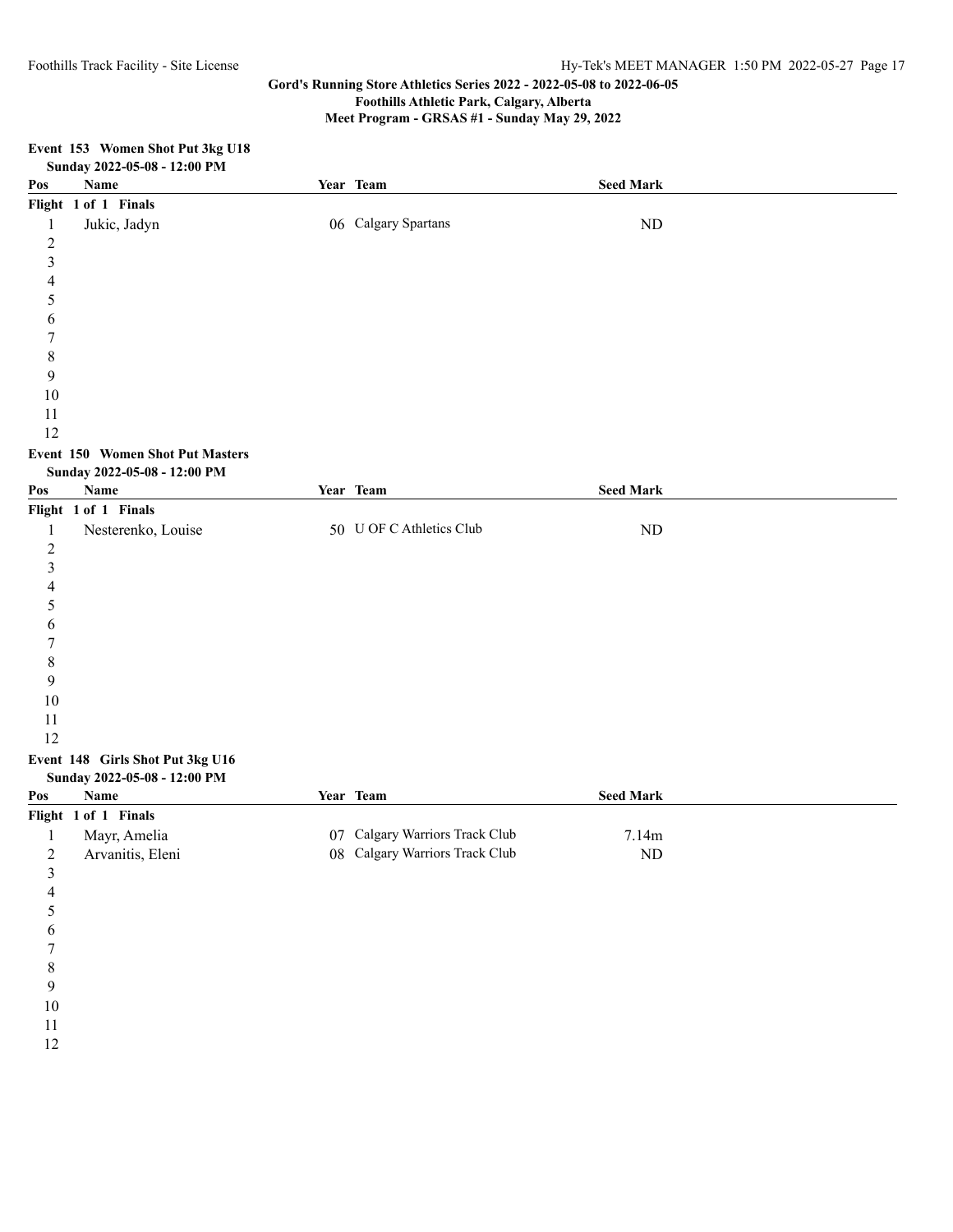**Meet Program - GRSAS #1 - Sunday May 29, 2022**

|                         | Event 153 Women Shot Put 3kg U18                                        |                                |                  |
|-------------------------|-------------------------------------------------------------------------|--------------------------------|------------------|
|                         | Sunday 2022-05-08 - 12:00 PM                                            |                                |                  |
| Pos                     | Name                                                                    | Year Team                      | <b>Seed Mark</b> |
|                         | Flight 1 of 1 Finals                                                    |                                |                  |
| $\mathbf{1}$            | Jukic, Jadyn                                                            | 06 Calgary Spartans            | ${\rm ND}$       |
| $\overline{c}$          |                                                                         |                                |                  |
| $\mathfrak{Z}$          |                                                                         |                                |                  |
| 4                       |                                                                         |                                |                  |
| 5                       |                                                                         |                                |                  |
| 6                       |                                                                         |                                |                  |
| 7                       |                                                                         |                                |                  |
| 8                       |                                                                         |                                |                  |
| 9                       |                                                                         |                                |                  |
| 10                      |                                                                         |                                |                  |
| 11                      |                                                                         |                                |                  |
| 12                      |                                                                         |                                |                  |
|                         | <b>Event 150 Women Shot Put Masters</b><br>Sunday 2022-05-08 - 12:00 PM |                                |                  |
| Pos                     | Name                                                                    | Year Team                      | <b>Seed Mark</b> |
|                         | Flight 1 of 1 Finals                                                    |                                |                  |
| $\mathbf{1}$            | Nesterenko, Louise                                                      | 50 U OF C Athletics Club       | $\rm ND$         |
| $\boldsymbol{2}$        |                                                                         |                                |                  |
| $\mathfrak{Z}$          |                                                                         |                                |                  |
| 4                       |                                                                         |                                |                  |
| 5                       |                                                                         |                                |                  |
| 6                       |                                                                         |                                |                  |
| 7                       |                                                                         |                                |                  |
| $\,$ $\,$               |                                                                         |                                |                  |
| 9                       |                                                                         |                                |                  |
| 10                      |                                                                         |                                |                  |
| 11                      |                                                                         |                                |                  |
| 12                      |                                                                         |                                |                  |
|                         | Event 148 Girls Shot Put 3kg U16                                        |                                |                  |
|                         | Sunday 2022-05-08 - 12:00 PM                                            |                                |                  |
| Pos                     | <b>Name</b>                                                             | Year Team                      | <b>Seed Mark</b> |
|                         | Flight 1 of 1 Finals                                                    |                                |                  |
|                         | 1 Mayr, Amelia                                                          | 07 Calgary Warriors Track Club | 7.14m            |
| $\boldsymbol{2}$        | Arvanitis, Eleni                                                        | 08 Calgary Warriors Track Club | $\rm ND$         |
| $\overline{\mathbf{3}}$ |                                                                         |                                |                  |
| 4                       |                                                                         |                                |                  |
| 5                       |                                                                         |                                |                  |
| 6                       |                                                                         |                                |                  |
| 7                       |                                                                         |                                |                  |
| 8                       |                                                                         |                                |                  |
| 9                       |                                                                         |                                |                  |
| $10\,$                  |                                                                         |                                |                  |
| $11\,$                  |                                                                         |                                |                  |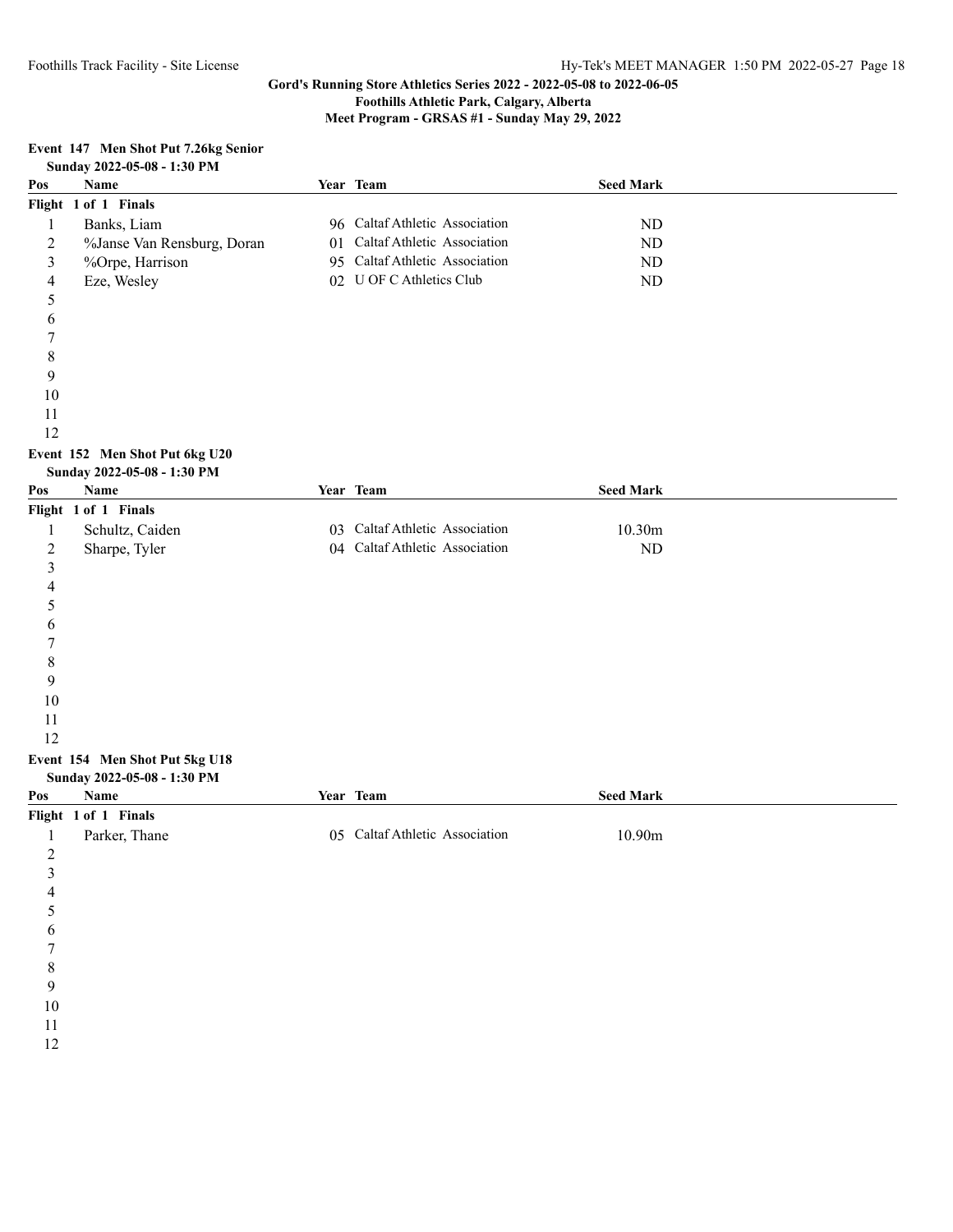**Foothills Athletic Park, Calgary, Alberta**

**Meet Program - GRSAS #1 - Sunday May 29, 2022**

| Event 147 Men Shot Put 7.26kg Senior |                             |  |  |
|--------------------------------------|-----------------------------|--|--|
|                                      | Sunday 2022-05-08 - 1:30 PM |  |  |

| $50.0044$ $2022-03-00$ - 1.30 1 M |                            |  |                                |                  |  |
|-----------------------------------|----------------------------|--|--------------------------------|------------------|--|
| Pos                               | <b>Name</b>                |  | Year Team                      | <b>Seed Mark</b> |  |
|                                   | Flight 1 of 1 Finals       |  |                                |                  |  |
|                                   | Banks, Liam                |  | 96 Caltaf Athletic Association | ND               |  |
|                                   | %Janse Van Rensburg, Doran |  | 01 Caltaf Athletic Association | ND               |  |
|                                   | %Orpe, Harrison            |  | 95 Caltaf Athletic Association | ND               |  |
| 4                                 | Eze, Wesley                |  | 02 U OF C Athletics Club       | ND               |  |
|                                   |                            |  |                                |                  |  |
|                                   |                            |  |                                |                  |  |

# **Event 152 Men Shot Put 6kg U20**

| Sunday 2022-05-08 - 1:30 PM    |                             |    |                                |                  |  |
|--------------------------------|-----------------------------|----|--------------------------------|------------------|--|
| Pos                            | Name                        |    | Year Team                      | <b>Seed Mark</b> |  |
|                                | Flight 1 of 1 Finals        |    |                                |                  |  |
| 1                              | Schultz, Caiden             | 03 | Caltaf Athletic Association    | 10.30m           |  |
| 2                              | Sharpe, Tyler               |    | 04 Caltaf Athletic Association | ND               |  |
| 3                              |                             |    |                                |                  |  |
| 4                              |                             |    |                                |                  |  |
| 5                              |                             |    |                                |                  |  |
| 6                              |                             |    |                                |                  |  |
|                                |                             |    |                                |                  |  |
| 8                              |                             |    |                                |                  |  |
| 9                              |                             |    |                                |                  |  |
| 10                             |                             |    |                                |                  |  |
| 11                             |                             |    |                                |                  |  |
| 12                             |                             |    |                                |                  |  |
| Event 154 Men Shot Put 5kg U18 |                             |    |                                |                  |  |
|                                | Sunday 2022-05-08 - 1:30 PM |    |                                |                  |  |
| Pos                            | Name                        |    | Year Team                      | <b>Seed Mark</b> |  |
|                                | Flight 1 of 1 Finals        |    |                                |                  |  |
| 1                              | Parker, Thane               | 05 | Caltaf Athletic Association    | 10.90m           |  |
| $\overline{2}$                 |                             |    |                                |                  |  |
| 3                              |                             |    |                                |                  |  |
| 4                              |                             |    |                                |                  |  |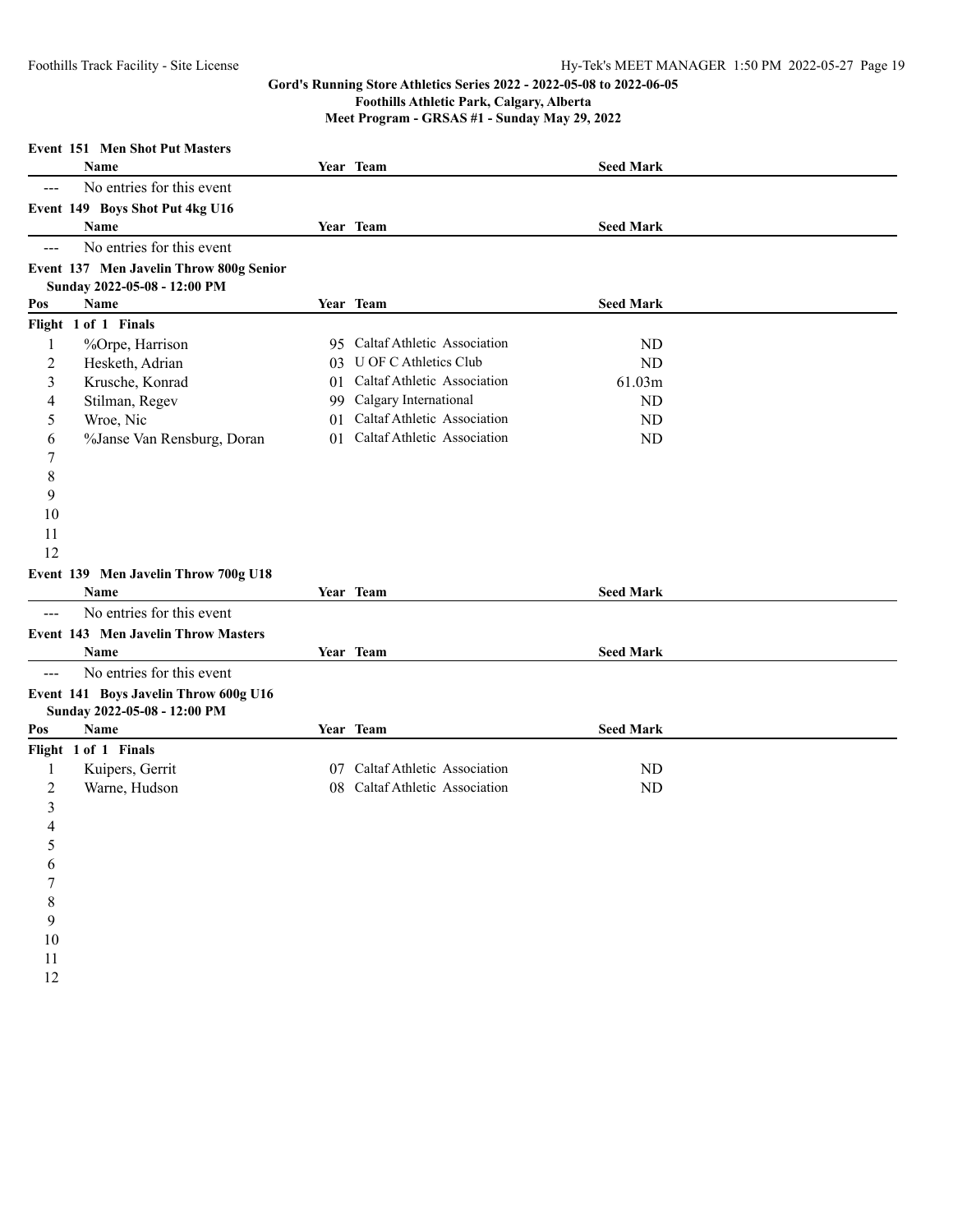**Foothills Athletic Park, Calgary, Alberta**

**Meet Program - GRSAS #1 - Sunday May 29, 2022**

|                     | <b>Event 151 Men Shot Put Masters</b>   |     |                                |                  |  |
|---------------------|-----------------------------------------|-----|--------------------------------|------------------|--|
|                     | <b>Name</b>                             |     | Year Team                      | <b>Seed Mark</b> |  |
| $\frac{1}{2}$       | No entries for this event               |     |                                |                  |  |
|                     | Event 149 Boys Shot Put 4kg U16         |     |                                |                  |  |
|                     | Name                                    |     | Year Team                      | <b>Seed Mark</b> |  |
| $---$               | No entries for this event               |     |                                |                  |  |
|                     | Event 137 Men Javelin Throw 800g Senior |     |                                |                  |  |
|                     | Sunday 2022-05-08 - 12:00 PM            |     |                                |                  |  |
| Pos                 | Name                                    |     | Year Team                      | <b>Seed Mark</b> |  |
|                     | Flight 1 of 1 Finals                    |     |                                |                  |  |
| 1                   | %Orpe, Harrison                         |     | 95 Caltaf Athletic Association | ND               |  |
| 2                   | Hesketh, Adrian                         |     | 03 U OF C Athletics Club       | <b>ND</b>        |  |
| 3                   | Krusche, Konrad                         | 01  | Caltaf Athletic Association    | 61.03m           |  |
| 4                   | Stilman, Regev                          | 99. | Calgary International          | ND               |  |
| 5                   | Wroe, Nic                               | 01  | Caltaf Athletic Association    | ND               |  |
| 6                   | %Janse Van Rensburg, Doran              | 01  | Caltaf Athletic Association    | ND               |  |
| 7                   |                                         |     |                                |                  |  |
| 8                   |                                         |     |                                |                  |  |
| 9                   |                                         |     |                                |                  |  |
| 10                  |                                         |     |                                |                  |  |
| 11                  |                                         |     |                                |                  |  |
| 12                  |                                         |     |                                |                  |  |
|                     | Event 139 Men Javelin Throw 700g U18    |     |                                |                  |  |
|                     | Name                                    |     | Year Team                      | <b>Seed Mark</b> |  |
| ---                 | No entries for this event               |     |                                |                  |  |
|                     | Event 143 Men Javelin Throw Masters     |     |                                |                  |  |
|                     | Name                                    |     | Year Team                      | <b>Seed Mark</b> |  |
| $\qquad \qquad - -$ | No entries for this event               |     |                                |                  |  |
|                     | Event 141 Boys Javelin Throw 600g U16   |     |                                |                  |  |
|                     | Sunday 2022-05-08 - 12:00 PM<br>Name    |     | Year Team                      | <b>Seed Mark</b> |  |
| Pos                 |                                         |     |                                |                  |  |
|                     | Flight 1 of 1 Finals                    |     | 07 Caltaf Athletic Association |                  |  |
| 1                   | Kuipers, Gerrit                         |     | Caltaf Athletic Association    | ND               |  |
| $\overline{2}$      | Warne, Hudson                           | 08. |                                | ND               |  |
| 3<br>4              |                                         |     |                                |                  |  |
|                     |                                         |     |                                |                  |  |
|                     |                                         |     |                                |                  |  |
| 6<br>$\sqrt{ }$     |                                         |     |                                |                  |  |
| $\,$ 8 $\,$         |                                         |     |                                |                  |  |
| 9                   |                                         |     |                                |                  |  |
| 10                  |                                         |     |                                |                  |  |
| 11                  |                                         |     |                                |                  |  |
| 12                  |                                         |     |                                |                  |  |